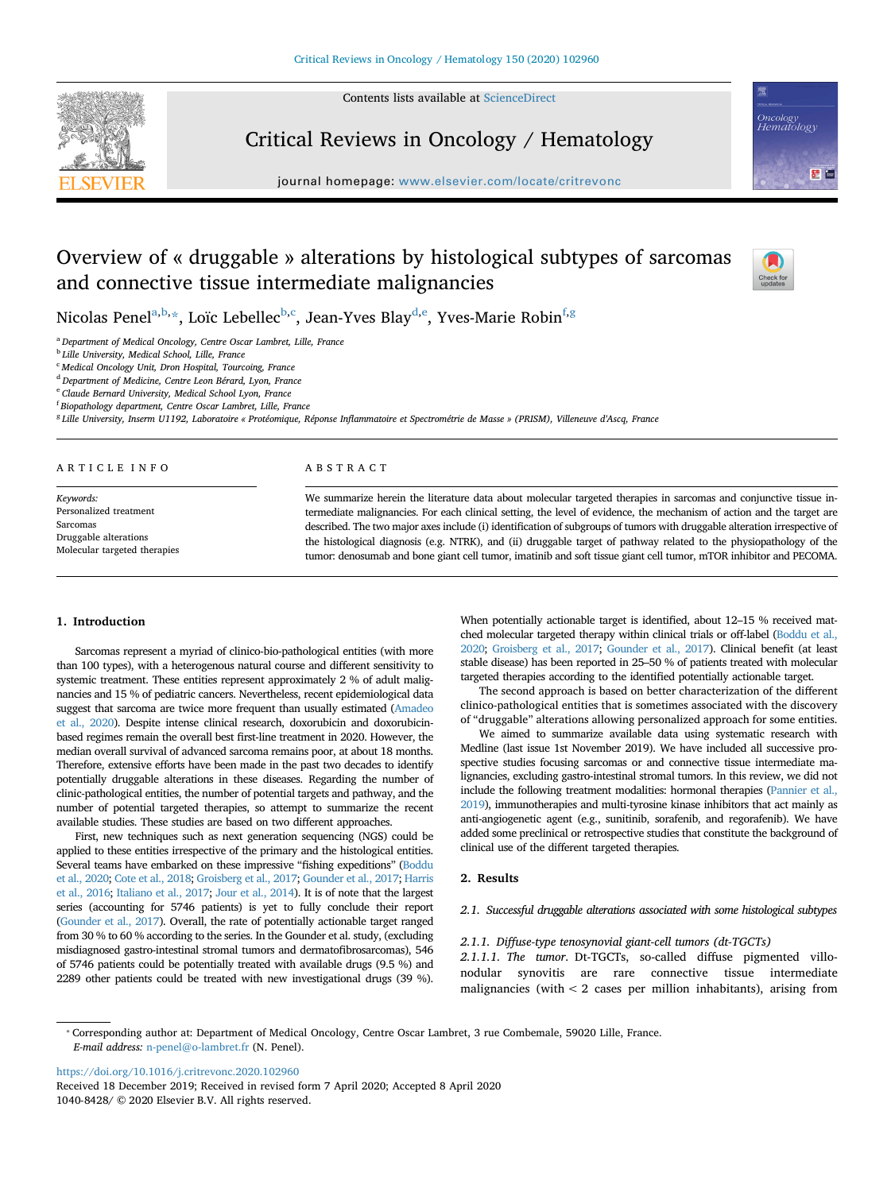Contents lists available at [ScienceDirect](http://www.sciencedirect.com/science/journal/10408428)



Critical Reviews in Oncology / Hematology

journal homepage: [www.elsevier.com/locate/critrevonc](https://www.elsevier.com/locate/critrevonc)



# Overview of « druggable » alterations by histological subtypes of sarcomas and connective tissue intermediate malignancies



Nicol[a](#page-0-0)s Penel<sup>a[,b,](#page-0-1)</sup>[\\*](#page-0-2), Loïc Le[b](#page-0-1)ellec<sup>b[,c](#page-0-3)</sup>, Jean-Yves Blay<sup>[d,](#page-0-4)[e](#page-0-5)</sup>, Yves-Marie Robin<sup>[f](#page-0-6)[,g](#page-0-7)</sup>

<span id="page-0-0"></span><sup>a</sup> *Department of Medical Oncology, Centre Oscar Lambret, Lille, France*

<span id="page-0-1"></span><sup>b</sup> *Lille University, Medical School, Lille, France*

<span id="page-0-3"></span><sup>c</sup> *Medical Oncology Unit, Dron Hospital, Tourcoing, France*

<span id="page-0-4"></span><sup>d</sup> *Department of Medicine, Centre Leon Bérard, Lyon, France*

<span id="page-0-5"></span><sup>e</sup> *Claude Bernard University, Medical School Lyon, France*

<span id="page-0-6"></span>f *Biopathology department, Centre Oscar Lambret, Lille, France*

<span id="page-0-7"></span><sup>g</sup> *Lille University, Inserm U1192, Laboratoire « Protéomique, Réponse Inflammatoire et Spectrométrie de Masse » (PRISM), Villeneuve d'Ascq, France*

## ARTICLE INFO

*Keywords:* Personalized treatment Sarcomas Druggable alterations Molecular targeted therapies

# ABSTRACT

We summarize herein the literature data about molecular targeted therapies in sarcomas and conjunctive tissue intermediate malignancies. For each clinical setting, the level of evidence, the mechanism of action and the target are described. The two major axes include (i) identification of subgroups of tumors with druggable alteration irrespective of the histological diagnosis (e.g. NTRK), and (ii) druggable target of pathway related to the physiopathology of the tumor: denosumab and bone giant cell tumor, imatinib and soft tissue giant cell tumor, mTOR inhibitor and PECOMA.

# **1. Introduction**

Sarcomas represent a myriad of clinico-bio-pathological entities (with more than 100 types), with a heterogenous natural course and different sensitivity to systemic treatment. These entities represent approximately 2 % of adult malignancies and 15 % of pediatric cancers. Nevertheless, recent epidemiological data suggest that sarcoma are twice more frequent than usually estimated ([Amadeo](#page-6-0) [et al., 2020\)](#page-6-0). Despite intense clinical research, doxorubicin and doxorubicinbased regimes remain the overall best first-line treatment in 2020. However, the median overall survival of advanced sarcoma remains poor, at about 18 months. Therefore, extensive efforts have been made in the past two decades to identify potentially druggable alterations in these diseases. Regarding the number of clinic-pathological entities, the number of potential targets and pathway, and the number of potential targeted therapies, so attempt to summarize the recent available studies. These studies are based on two different approaches.

First, new techniques such as next generation sequencing (NGS) could be applied to these entities irrespective of the primary and the histological entities. Several teams have embarked on these impressive "fishing expeditions" [\(Boddu](#page-6-1) [et al., 2020;](#page-6-1) [Cote et al., 2018](#page-6-2); [Groisberg et al., 2017;](#page-6-3) [Gounder et al., 2017;](#page-6-4) [Harris](#page-6-5) [et al., 2016](#page-6-5); [Italiano et al., 2017](#page-6-6); [Jour et al., 2014\)](#page-6-7). It is of note that the largest series (accounting for 5746 patients) is yet to fully conclude their report [\(Gounder et al., 2017\)](#page-6-4). Overall, the rate of potentially actionable target ranged from 30 % to 60 % according to the series. In the Gounder et al. study, (excluding misdiagnosed gastro-intestinal stromal tumors and dermatofibrosarcomas), 546 of 5746 patients could be potentially treated with available drugs (9.5 %) and 2289 other patients could be treated with new investigational drugs (39 %).

When potentially actionable target is identified, about 12–15 % received matched molecular targeted therapy within clinical trials or off-label [\(Boddu et al.,](#page-6-1) [2020;](#page-6-1) [Groisberg et al., 2017;](#page-6-3) [Gounder et al., 2017](#page-6-4)). Clinical benefit (at least stable disease) has been reported in 25–50 % of patients treated with molecular targeted therapies according to the identified potentially actionable target.

The second approach is based on better characterization of the different clinico-pathological entities that is sometimes associated with the discovery of "druggable" alterations allowing personalized approach for some entities.

We aimed to summarize available data using systematic research with Medline (last issue 1st November 2019). We have included all successive prospective studies focusing sarcomas or and connective tissue intermediate malignancies, excluding gastro-intestinal stromal tumors. In this review, we did not include the following treatment modalities: hormonal therapies [\(Pannier et al.,](#page-6-8) [2019\)](#page-6-8), immunotherapies and multi-tyrosine kinase inhibitors that act mainly as anti-angiogenetic agent (e.g., sunitinib, sorafenib, and regorafenib). We have added some preclinical or retrospective studies that constitute the background of clinical use of the different targeted therapies.

# **2. Results**

# *2.1. Successful druggable alterations associated with some histological subtypes*

## *2.1.1. Diffuse-type tenosynovial giant-cell tumors (dt-TGCTs)*

*2.1.1.1. The tumor*. Dt-TGCTs, so-called diffuse pigmented villonodular synovitis are rare connective tissue intermediate malignancies (with < 2 cases per million inhabitants), arising from

<span id="page-0-2"></span>⁎ Corresponding author at: Department of Medical Oncology, Centre Oscar Lambret, 3 rue Combemale, 59020 Lille, France. *E-mail address:* [n-penel@o-lambret.fr](mailto:n-penel@o-lambret.fr) (N. Penel).

<https://doi.org/10.1016/j.critrevonc.2020.102960>

Received 18 December 2019; Received in revised form 7 April 2020; Accepted 8 April 2020 1040-8428/ © 2020 Elsevier B.V. All rights reserved.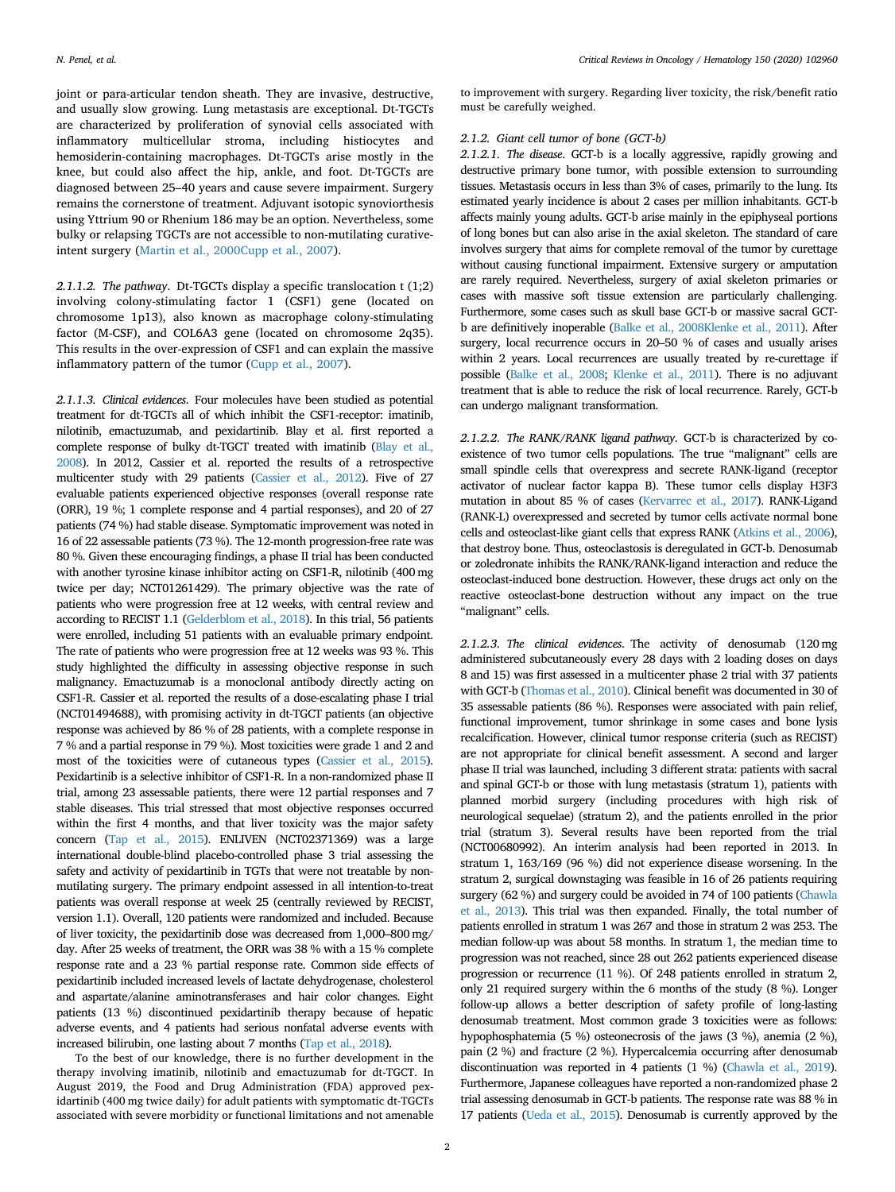joint or para-articular tendon sheath. They are invasive, destructive, and usually slow growing. Lung metastasis are exceptional. Dt-TGCTs are characterized by proliferation of synovial cells associated with inflammatory multicellular stroma, including histiocytes and hemosiderin-containing macrophages. Dt-TGCTs arise mostly in the knee, but could also affect the hip, ankle, and foot. Dt-TGCTs are diagnosed between 25–40 years and cause severe impairment. Surgery remains the cornerstone of treatment. Adjuvant isotopic synoviorthesis using Yttrium 90 or Rhenium 186 may be an option. Nevertheless, some bulky or relapsing TGCTs are not accessible to non-mutilating curativeintent surgery ([Martin et al., 2000](#page-6-9)[Cupp et al., 2007](#page-6-10)).

*2.1.1.2. The pathway*. Dt-TGCTs display a specific translocation t (1;2) involving colony-stimulating factor 1 (CSF1) gene (located on chromosome 1p13), also known as macrophage colony-stimulating factor (M-CSF), and COL6A3 gene (located on chromosome 2q35). This results in the over-expression of CSF1 and can explain the massive inflammatory pattern of the tumor ([Cupp et al., 2007\)](#page-6-10).

*2.1.1.3. Clinical evidences*. Four molecules have been studied as potential treatment for dt-TGCTs all of which inhibit the CSF1-receptor: imatinib, nilotinib, emactuzumab, and pexidartinib. Blay et al. first reported a complete response of bulky dt-TGCT treated with imatinib [\(Blay et al.,](#page-6-11) [2008\)](#page-6-11). In 2012, Cassier et al. reported the results of a retrospective multicenter study with 29 patients [\(Cassier et al., 2012](#page-6-12)). Five of 27 evaluable patients experienced objective responses (overall response rate (ORR), 19 %; 1 complete response and 4 partial responses), and 20 of 27 patients (74 %) had stable disease. Symptomatic improvement was noted in 16 of 22 assessable patients (73 %). The 12-month progression-free rate was 80 %. Given these encouraging findings, a phase II trial has been conducted with another tyrosine kinase inhibitor acting on CSF1-R, nilotinib (400 mg twice per day; NCT01261429). The primary objective was the rate of patients who were progression free at 12 weeks, with central review and according to RECIST 1.1 [\(Gelderblom et al., 2018](#page-7-0)). In this trial, 56 patients were enrolled, including 51 patients with an evaluable primary endpoint. The rate of patients who were progression free at 12 weeks was 93 %. This study highlighted the difficulty in assessing objective response in such malignancy. Emactuzumab is a monoclonal antibody directly acting on CSF1-R. Cassier et al. reported the results of a dose-escalating phase I trial (NCT01494688), with promising activity in dt-TGCT patients (an objective response was achieved by 86 % of 28 patients, with a complete response in 7 % and a partial response in 79 %). Most toxicities were grade 1 and 2 and most of the toxicities were of cutaneous types [\(Cassier et al., 2015\)](#page-7-1). Pexidartinib is a selective inhibitor of CSF1-R. In a non-randomized phase II trial, among 23 assessable patients, there were 12 partial responses and 7 stable diseases. This trial stressed that most objective responses occurred within the first 4 months, and that liver toxicity was the major safety concern [\(Tap et al., 2015\)](#page-7-2). ENLIVEN (NCT02371369) was a large international double-blind placebo-controlled phase 3 trial assessing the safety and activity of pexidartinib in TGTs that were not treatable by nonmutilating surgery. The primary endpoint assessed in all intention-to-treat patients was overall response at week 25 (centrally reviewed by RECIST, version 1.1). Overall, 120 patients were randomized and included. Because of liver toxicity, the pexidartinib dose was decreased from 1,000–800 mg/ day. After 25 weeks of treatment, the ORR was 38 % with a 15 % complete response rate and a 23 % partial response rate. Common side effects of pexidartinib included increased levels of lactate dehydrogenase, cholesterol and aspartate/alanine aminotransferases and hair color changes. Eight patients (13 %) discontinued pexidartinib therapy because of hepatic adverse events, and 4 patients had serious nonfatal adverse events with increased bilirubin, one lasting about 7 months [\(Tap et al., 2018](#page-7-3)).

To the best of our knowledge, there is no further development in the therapy involving imatinib, nilotinib and emactuzumab for dt-TGCT. In August 2019, the Food and Drug Administration (FDA) approved pexidartinib (400 mg twice daily) for adult patients with symptomatic dt-TGCTs associated with severe morbidity or functional limitations and not amenable to improvement with surgery. Regarding liver toxicity, the risk/benefit ratio must be carefully weighed.

# *2.1.2. Giant cell tumor of bone (GCT-b)*

*2.1.2.1. The disease*. GCT-b is a locally aggressive, rapidly growing and destructive primary bone tumor, with possible extension to surrounding tissues. Metastasis occurs in less than 3% of cases, primarily to the lung. Its estimated yearly incidence is about 2 cases per million inhabitants. GCT-b affects mainly young adults. GCT-b arise mainly in the epiphyseal portions of long bones but can also arise in the axial skeleton. The standard of care involves surgery that aims for complete removal of the tumor by curettage without causing functional impairment. Extensive surgery or amputation are rarely required. Nevertheless, surgery of axial skeleton primaries or cases with massive soft tissue extension are particularly challenging. Furthermore, some cases such as skull base GCT-b or massive sacral GCTb are definitively inoperable [\(Balke et al., 2008](#page-7-4)[Klenke et al., 2011](#page-7-5)). After surgery, local recurrence occurs in 20–50 % of cases and usually arises within 2 years. Local recurrences are usually treated by re-curettage if possible ([Balke et al., 2008;](#page-7-4) [Klenke et al., 2011\)](#page-7-5). There is no adjuvant treatment that is able to reduce the risk of local recurrence. Rarely, GCT-b can undergo malignant transformation.

*2.1.2.2. The RANK/RANK ligand pathway*. GCT-b is characterized by coexistence of two tumor cells populations. The true "malignant" cells are small spindle cells that overexpress and secrete RANK-ligand (receptor activator of nuclear factor kappa B). These tumor cells display H3F3 mutation in about 85 % of cases [\(Kervarrec et al., 2017\)](#page-7-6). RANK-Ligand (RANK-L) overexpressed and secreted by tumor cells activate normal bone cells and osteoclast-like giant cells that express RANK [\(Atkins et al., 2006\)](#page-7-7), that destroy bone. Thus, osteoclastosis is deregulated in GCT-b. Denosumab or zoledronate inhibits the RANK/RANK-ligand interaction and reduce the osteoclast-induced bone destruction. However, these drugs act only on the reactive osteoclast-bone destruction without any impact on the true "malignant" cells.

*2.1.2.3. The clinical evidences*. The activity of denosumab (120 mg administered subcutaneously every 28 days with 2 loading doses on days 8 and 15) was first assessed in a multicenter phase 2 trial with 37 patients with GCT-b ([Thomas et al., 2010](#page-7-8)). Clinical benefit was documented in 30 of 35 assessable patients (86 %). Responses were associated with pain relief, functional improvement, tumor shrinkage in some cases and bone lysis recalcification. However, clinical tumor response criteria (such as RECIST) are not appropriate for clinical benefit assessment. A second and larger phase II trial was launched, including 3 different strata: patients with sacral and spinal GCT-b or those with lung metastasis (stratum 1), patients with planned morbid surgery (including procedures with high risk of neurological sequelae) (stratum 2), and the patients enrolled in the prior trial (stratum 3). Several results have been reported from the trial (NCT00680992). An interim analysis had been reported in 2013. In stratum 1, 163/169 (96 %) did not experience disease worsening. In the stratum 2, surgical downstaging was feasible in 16 of 26 patients requiring surgery (62 %) and surgery could be avoided in 74 of 100 patients ([Chawla](#page-7-9) [et al., 2013\)](#page-7-9). This trial was then expanded. Finally, the total number of patients enrolled in stratum 1 was 267 and those in stratum 2 was 253. The median follow-up was about 58 months. In stratum 1, the median time to progression was not reached, since 28 out 262 patients experienced disease progression or recurrence (11 %). Of 248 patients enrolled in stratum 2, only 21 required surgery within the 6 months of the study (8 %). Longer follow-up allows a better description of safety profile of long-lasting denosumab treatment. Most common grade 3 toxicities were as follows: hypophosphatemia (5 %) osteonecrosis of the jaws (3 %), anemia (2 %), pain (2 %) and fracture (2 %). Hypercalcemia occurring after denosumab discontinuation was reported in 4 patients (1 %) [\(Chawla et al., 2019\)](#page-7-10). Furthermore, Japanese colleagues have reported a non-randomized phase 2 trial assessing denosumab in GCT-b patients. The response rate was 88 % in 17 patients [\(Ueda et al., 2015\)](#page-7-11). Denosumab is currently approved by the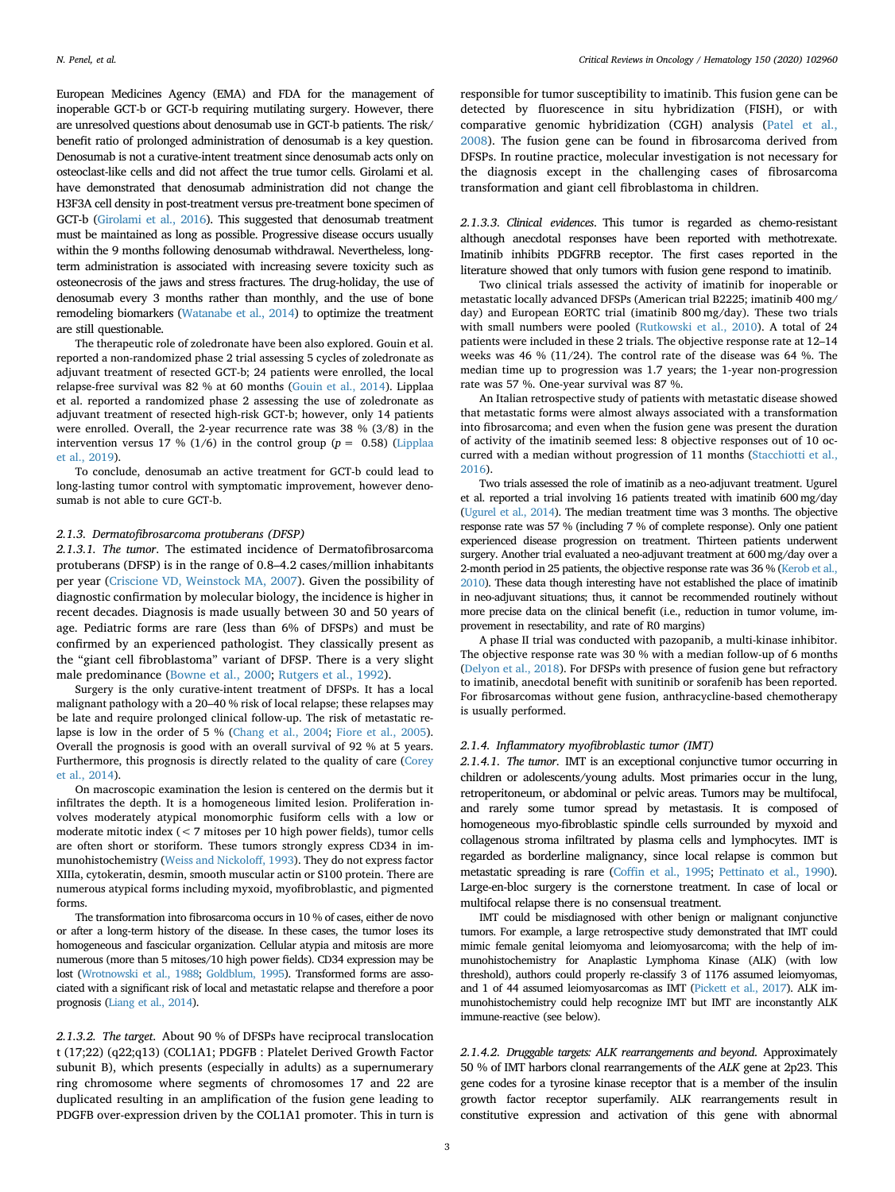European Medicines Agency (EMA) and FDA for the management of inoperable GCT-b or GCT-b requiring mutilating surgery. However, there are unresolved questions about denosumab use in GCT-b patients. The risk/ benefit ratio of prolonged administration of denosumab is a key question. Denosumab is not a curative-intent treatment since denosumab acts only on osteoclast-like cells and did not affect the true tumor cells. Girolami et al. have demonstrated that denosumab administration did not change the H3F3A cell density in post-treatment versus pre-treatment bone specimen of GCT-b [\(Girolami et al., 2016](#page-7-12)). This suggested that denosumab treatment must be maintained as long as possible. Progressive disease occurs usually within the 9 months following denosumab withdrawal. Nevertheless, longterm administration is associated with increasing severe toxicity such as osteonecrosis of the jaws and stress fractures. The drug-holiday, the use of denosumab every 3 months rather than monthly, and the use of bone remodeling biomarkers [\(Watanabe et al., 2014](#page-7-13)) to optimize the treatment are still questionable.

The therapeutic role of zoledronate have been also explored. Gouin et al. reported a non-randomized phase 2 trial assessing 5 cycles of zoledronate as adjuvant treatment of resected GCT-b; 24 patients were enrolled, the local relapse-free survival was 82 % at 60 months ([Gouin et al., 2014\)](#page-7-14). Lipplaa et al. reported a randomized phase 2 assessing the use of zoledronate as adjuvant treatment of resected high-risk GCT-b; however, only 14 patients were enrolled. Overall, the 2-year recurrence rate was 38 % (3/8) in the intervention versus 17 % (1/6) in the control group ( $p = 0.58$ ) [\(Lipplaa](#page-7-15) [et al., 2019\)](#page-7-15).

To conclude, denosumab an active treatment for GCT-b could lead to long-lasting tumor control with symptomatic improvement, however denosumab is not able to cure GCT-b.

# *2.1.3. Dermatofibrosarcoma protuberans (DFSP)*

*2.1.3.1. The tumor*. The estimated incidence of Dermatofibrosarcoma protuberans (DFSP) is in the range of 0.8–4.2 cases/million inhabitants per year ([Criscione VD, Weinstock MA, 2007](#page-7-16)). Given the possibility of diagnostic confirmation by molecular biology, the incidence is higher in recent decades. Diagnosis is made usually between 30 and 50 years of age. Pediatric forms are rare (less than 6% of DFSPs) and must be confirmed by an experienced pathologist. They classically present as the "giant cell fibroblastoma" variant of DFSP. There is a very slight male predominance [\(Bowne et al., 2000](#page-7-17); [Rutgers et al., 1992\)](#page-7-18).

Surgery is the only curative-intent treatment of DFSPs. It has a local malignant pathology with a 20–40 % risk of local relapse; these relapses may be late and require prolonged clinical follow-up. The risk of metastatic relapse is low in the order of 5 % [\(Chang et al., 2004;](#page-7-19) [Fiore et al., 2005\)](#page-7-20). Overall the prognosis is good with an overall survival of 92 % at 5 years. Furthermore, this prognosis is directly related to the quality of care [\(Corey](#page-7-21) [et al., 2014\)](#page-7-21).

On macroscopic examination the lesion is centered on the dermis but it infiltrates the depth. It is a homogeneous limited lesion. Proliferation involves moderately atypical monomorphic fusiform cells with a low or moderate mitotic index (< 7 mitoses per 10 high power fields), tumor cells are often short or storiform. These tumors strongly express CD34 in immunohistochemistry ([Weiss and Nickoloff, 1993\)](#page-7-22). They do not express factor XIIIa, cytokeratin, desmin, smooth muscular actin or S100 protein. There are numerous atypical forms including myxoid, myofibroblastic, and pigmented forms.

The transformation into fibrosarcoma occurs in 10 % of cases, either de novo or after a long-term history of the disease. In these cases, the tumor loses its homogeneous and fascicular organization. Cellular atypia and mitosis are more numerous (more than 5 mitoses/10 high power fields). CD34 expression may be lost [\(Wrotnowski et al., 1988](#page-7-23); [Goldblum, 1995](#page-7-24)). Transformed forms are associated with a significant risk of local and metastatic relapse and therefore a poor prognosis [\(Liang et al., 2014\)](#page-7-25).

*2.1.3.2. The target*. About 90 % of DFSPs have reciprocal translocation t (17;22) (q22;q13) (COL1A1; PDGFB : Platelet Derived Growth Factor subunit B), which presents (especially in adults) as a supernumerary ring chromosome where segments of chromosomes 17 and 22 are duplicated resulting in an amplification of the fusion gene leading to PDGFB over-expression driven by the COL1A1 promoter. This in turn is

responsible for tumor susceptibility to imatinib. This fusion gene can be detected by fluorescence in situ hybridization (FISH), or with comparative genomic hybridization (CGH) analysis ([Patel et al.,](#page-7-26) [2008\)](#page-7-26). The fusion gene can be found in fibrosarcoma derived from DFSPs. In routine practice, molecular investigation is not necessary for the diagnosis except in the challenging cases of fibrosarcoma transformation and giant cell fibroblastoma in children.

*2.1.3.3. Clinical evidences*. This tumor is regarded as chemo-resistant although anecdotal responses have been reported with methotrexate. Imatinib inhibits PDGFRB receptor. The first cases reported in the literature showed that only tumors with fusion gene respond to imatinib.

Two clinical trials assessed the activity of imatinib for inoperable or metastatic locally advanced DFSPs (American trial B2225; imatinib 400 mg/ day) and European EORTC trial (imatinib 800 mg/day). These two trials with small numbers were pooled ([Rutkowski et al., 2010](#page-7-27)). A total of 24 patients were included in these 2 trials. The objective response rate at 12–14 weeks was 46 % (11/24). The control rate of the disease was 64 %. The median time up to progression was 1.7 years; the 1-year non-progression rate was 57 %. One-year survival was 87 %.

An Italian retrospective study of patients with metastatic disease showed that metastatic forms were almost always associated with a transformation into fibrosarcoma; and even when the fusion gene was present the duration of activity of the imatinib seemed less: 8 objective responses out of 10 occurred with a median without progression of 11 months ([Stacchiotti et al.,](#page-7-28) [2016](#page-7-28)).

Two trials assessed the role of imatinib as a neo-adjuvant treatment. Ugurel et al. reported a trial involving 16 patients treated with imatinib 600 mg/day [\(Ugurel et al., 2014](#page-7-29)). The median treatment time was 3 months. The objective response rate was 57 % (including 7 % of complete response). Only one patient experienced disease progression on treatment. Thirteen patients underwent surgery. Another trial evaluated a neo-adjuvant treatment at 600 mg/day over a 2-month period in 25 patients, the objective response rate was 36 % [\(Kerob et al.,](#page-7-30) [2010\)](#page-7-30). These data though interesting have not established the place of imatinib in neo-adjuvant situations; thus, it cannot be recommended routinely without more precise data on the clinical benefit (i.e., reduction in tumor volume, improvement in resectability, and rate of R0 margins)

A phase II trial was conducted with pazopanib, a multi-kinase inhibitor. The objective response rate was 30 % with a median follow-up of 6 months [\(Delyon et al., 2018](#page-7-31)). For DFSPs with presence of fusion gene but refractory to imatinib, anecdotal benefit with sunitinib or sorafenib has been reported. For fibrosarcomas without gene fusion, anthracycline-based chemotherapy is usually performed.

### *2.1.4. Inflammatory myofibroblastic tumor (IMT)*

*2.1.4.1. The tumor*. IMT is an exceptional conjunctive tumor occurring in children or adolescents/young adults. Most primaries occur in the lung, retroperitoneum, or abdominal or pelvic areas. Tumors may be multifocal, and rarely some tumor spread by metastasis. It is composed of homogeneous myo-fibroblastic spindle cells surrounded by myxoid and collagenous stroma infiltrated by plasma cells and lymphocytes. IMT is regarded as borderline malignancy, since local relapse is common but metastatic spreading is rare [\(Coffin et al., 1995](#page-7-32); [Pettinato et al., 1990\)](#page-7-33). Large-en-bloc surgery is the cornerstone treatment. In case of local or multifocal relapse there is no consensual treatment.

IMT could be misdiagnosed with other benign or malignant conjunctive tumors. For example, a large retrospective study demonstrated that IMT could mimic female genital leiomyoma and leiomyosarcoma; with the help of immunohistochemistry for Anaplastic Lymphoma Kinase (ALK) (with low threshold), authors could properly re-classify 3 of 1176 assumed leiomyomas, and 1 of 44 assumed leiomyosarcomas as IMT [\(Pickett et al., 2017\)](#page-7-34). ALK immunohistochemistry could help recognize IMT but IMT are inconstantly ALK immune-reactive (see below).

*2.1.4.2. Druggable targets: ALK rearrangements and beyond*. Approximately 50 % of IMT harbors clonal rearrangements of the *ALK* gene at 2p23. This gene codes for a tyrosine kinase receptor that is a member of the insulin growth factor receptor superfamily. ALK rearrangements result in constitutive expression and activation of this gene with abnormal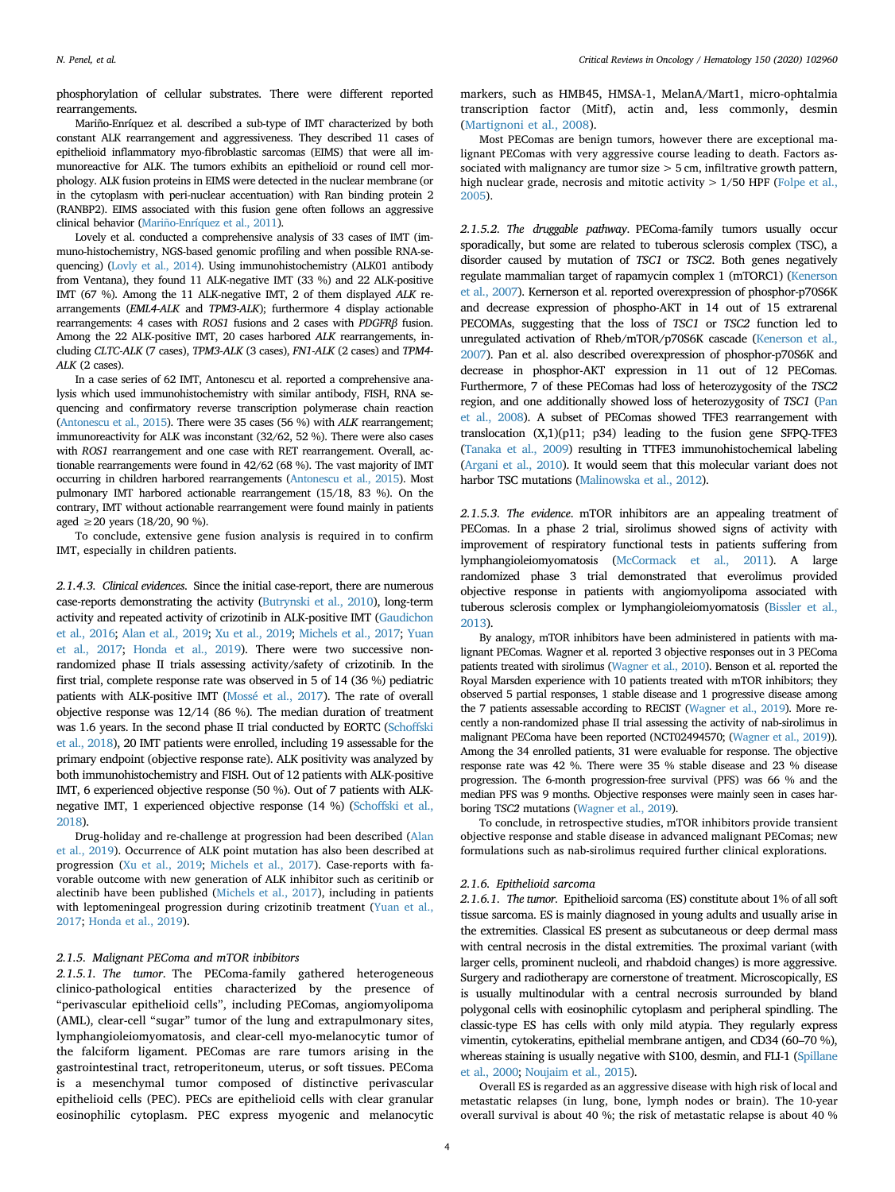phosphorylation of cellular substrates. There were different reported rearrangements.

Mariño-Enríquez et al. described a sub-type of IMT characterized by both constant ALK rearrangement and aggressiveness. They described 11 cases of epithelioid inflammatory myo-fibroblastic sarcomas (EIMS) that were all immunoreactive for ALK. The tumors exhibits an epithelioid or round cell morphology. ALK fusion proteins in EIMS were detected in the nuclear membrane (or in the cytoplasm with peri-nuclear accentuation) with Ran binding protein 2 (RANBP2). EIMS associated with this fusion gene often follows an aggressive clinical behavior [\(Mariño-Enríquez et al., 2011\)](#page-7-35).

Lovely et al. conducted a comprehensive analysis of 33 cases of IMT (immuno-histochemistry, NGS-based genomic profiling and when possible RNA-sequencing) [\(Lovly et al., 2014](#page-7-36)). Using immunohistochemistry (ALK01 antibody from Ventana), they found 11 ALK-negative IMT (33 %) and 22 ALK-positive IMT (67 %). Among the 11 ALK-negative IMT, 2 of them displayed *ALK* rearrangements (*EML4-ALK* and *TPM3-ALK*); furthermore 4 display actionable rearrangements: 4 cases with *ROS1* fusions and 2 cases with *PDGFRβ* fusion. Among the 22 ALK-positive IMT, 20 cases harbored *ALK* rearrangements, including *CLTC-ALK* (7 cases), *TPM3-ALK* (3 cases), *FN1-ALK* (2 cases) and *TPM4- ALK* (2 cases).

In a case series of 62 IMT, Antonescu et al. reported a comprehensive analysis which used immunohistochemistry with similar antibody, FISH, RNA sequencing and confirmatory reverse transcription polymerase chain reaction [\(Antonescu et al., 2015](#page-7-37)). There were 35 cases (56 %) with *ALK* rearrangement; immunoreactivity for ALK was inconstant (32/62, 52 %). There were also cases with *ROS1* rearrangement and one case with RET rearrangement. Overall, actionable rearrangements were found in 42/62 (68 %). The vast majority of IMT occurring in children harbored rearrangements [\(Antonescu et al., 2015\)](#page-7-37). Most pulmonary IMT harbored actionable rearrangement (15/18, 83 %). On the contrary, IMT without actionable rearrangement were found mainly in patients aged ≥20 years (18/20, 90 %).

To conclude, extensive gene fusion analysis is required in to confirm IMT, especially in children patients.

*2.1.4.3. Clinical evidences*. Since the initial case-report, there are numerous case-reports demonstrating the activity ([Butrynski et al., 2010](#page-7-38)), long-term activity and repeated activity of crizotinib in ALK-positive IMT [\(Gaudichon](#page-7-39) [et al., 2016](#page-7-39); [Alan et al., 2019;](#page-7-40) [Xu et al., 2019](#page-7-41); [Michels et al., 2017](#page-7-42); [Yuan](#page-7-43) [et al., 2017](#page-7-43); [Honda et al., 2019](#page-7-44)). There were two successive nonrandomized phase II trials assessing activity/safety of crizotinib. In the first trial, complete response rate was observed in 5 of 14 (36 %) pediatric patients with ALK-positive IMT [\(Mossé et al., 2017](#page-7-45)). The rate of overall objective response was 12/14 (86 %). The median duration of treatment was 1.6 years. In the second phase II trial conducted by EORTC [\(Schoffski](#page-7-46) [et al., 2018](#page-7-46)), 20 IMT patients were enrolled, including 19 assessable for the primary endpoint (objective response rate). ALK positivity was analyzed by both immunohistochemistry and FISH. Out of 12 patients with ALK-positive IMT, 6 experienced objective response (50 %). Out of 7 patients with ALKnegative IMT, 1 experienced objective response (14 %) [\(Schoffski et al.,](#page-7-46) [2018\)](#page-7-46).

Drug-holiday and re-challenge at progression had been described [\(Alan](#page-7-40) [et al., 2019\)](#page-7-40). Occurrence of ALK point mutation has also been described at progression [\(Xu et al., 2019;](#page-7-41) [Michels et al., 2017](#page-7-42)). Case-reports with favorable outcome with new generation of ALK inhibitor such as ceritinib or alectinib have been published [\(Michels et al., 2017](#page-7-42)), including in patients with leptomeningeal progression during crizotinib treatment [\(Yuan et al.,](#page-7-43) [2017](#page-7-43); [Honda et al., 2019\)](#page-7-44).

## *2.1.5. Malignant PEComa and mTOR inbibitors*

*2.1.5.1. The tumor*. The PEComa-family gathered heterogeneous clinico-pathological entities characterized by the presence of "perivascular epithelioid cells", including PEComas, angiomyolipoma (AML), clear-cell "sugar" tumor of the lung and extrapulmonary sites, lymphangioleiomyomatosis, and clear-cell myo-melanocytic tumor of the falciform ligament. PEComas are rare tumors arising in the gastrointestinal tract, retroperitoneum, uterus, or soft tissues. PEComa is a mesenchymal tumor composed of distinctive perivascular epithelioid cells (PEC). PECs are epithelioid cells with clear granular eosinophilic cytoplasm. PEC express myogenic and melanocytic markers, such as HMB45, HMSA-1, MelanA/Mart1, micro-ophtalmia transcription factor (Mitf), actin and, less commonly, desmin ([Martignoni et al., 2008](#page-7-47)).

Most PEComas are benign tumors, however there are exceptional malignant PEComas with very aggressive course leading to death. Factors associated with malignancy are tumor size  $>$  5 cm, infiltrative growth pattern, high nuclear grade, necrosis and mitotic activity > 1/50 HPF ([Folpe et al.,](#page-7-48) [2005](#page-7-48)).

*2.1.5.2. The druggable pathway*. PEComa-family tumors usually occur sporadically, but some are related to tuberous sclerosis complex (TSC), a disorder caused by mutation of *TSC1* or *TSC2*. Both genes negatively regulate mammalian target of rapamycin complex 1 (mTORC1) ([Kenerson](#page-7-49) [et al., 2007\)](#page-7-49). Kernerson et al. reported overexpression of phosphor-p70S6K and decrease expression of phospho-AKT in 14 out of 15 extrarenal PECOMAs, suggesting that the loss of *TSC1* or *TSC2* function led to unregulated activation of Rheb/mTOR/p70S6K cascade ([Kenerson et al.,](#page-7-49) [2007\)](#page-7-49). Pan et al. also described overexpression of phosphor-p70S6K and decrease in phosphor-AKT expression in 11 out of 12 PEComas. Furthermore, 7 of these PEComas had loss of heterozygosity of the *TSC2* region, and one additionally showed loss of heterozygosity of *TSC1* [\(Pan](#page-7-50) [et al., 2008](#page-7-50)). A subset of PEComas showed TFE3 rearrangement with translocation (X,1)(p11; p34) leading to the fusion gene SFPQ-TFE3 [\(Tanaka et al., 2009](#page-7-51)) resulting in TTFE3 immunohistochemical labeling [\(Argani et al., 2010](#page-7-52)). It would seem that this molecular variant does not harbor TSC mutations [\(Malinowska et al., 2012](#page-7-53)).

*2.1.5.3. The evidence*. mTOR inhibitors are an appealing treatment of PEComas. In a phase 2 trial, sirolimus showed signs of activity with improvement of respiratory functional tests in patients suffering from lymphangioleiomyomatosis [\(McCormack et al., 2011\)](#page-8-0). A large randomized phase 3 trial demonstrated that everolimus provided objective response in patients with angiomyolipoma associated with tuberous sclerosis complex or lymphangioleiomyomatosis [\(Bissler et al.,](#page-8-1) [2013\)](#page-8-1).

By analogy, mTOR inhibitors have been administered in patients with malignant PEComas. Wagner et al. reported 3 objective responses out in 3 PEComa patients treated with sirolimus [\(Wagner et al., 2010](#page-8-2)). Benson et al. reported the Royal Marsden experience with 10 patients treated with mTOR inhibitors; they observed 5 partial responses, 1 stable disease and 1 progressive disease among the 7 patients assessable according to RECIST ([Wagner et al., 2019\)](#page-8-3). More recently a non-randomized phase II trial assessing the activity of nab-sirolimus in malignant PEComa have been reported (NCT02494570; [\(Wagner et al., 2019](#page-8-3))). Among the 34 enrolled patients, 31 were evaluable for response. The objective response rate was 42 %. There were 35 % stable disease and 23 % disease progression. The 6-month progression-free survival (PFS) was 66 % and the median PFS was 9 months. Objective responses were mainly seen in cases harboring T*SC2* mutations [\(Wagner et al., 2019](#page-8-3)).

To conclude, in retrospective studies, mTOR inhibitors provide transient objective response and stable disease in advanced malignant PEComas; new formulations such as nab-sirolimus required further clinical explorations.

## *2.1.6. Epithelioid sarcoma*

*2.1.6.1. The tumor*. Epithelioid sarcoma (ES) constitute about 1% of all soft tissue sarcoma. ES is mainly diagnosed in young adults and usually arise in the extremities. Classical ES present as subcutaneous or deep dermal mass with central necrosis in the distal extremities. The proximal variant (with larger cells, prominent nucleoli, and rhabdoid changes) is more aggressive. Surgery and radiotherapy are cornerstone of treatment. Microscopically, ES is usually multinodular with a central necrosis surrounded by bland polygonal cells with eosinophilic cytoplasm and peripheral spindling. The classic-type ES has cells with only mild atypia. They regularly express vimentin, cytokeratins, epithelial membrane antigen, and CD34 (60–70 %), whereas staining is usually negative with S100, desmin, and FLI-1 [\(Spillane](#page-8-4) [et al., 2000](#page-8-4); [Noujaim et al., 2015](#page-8-5)).

Overall ES is regarded as an aggressive disease with high risk of local and metastatic relapses (in lung, bone, lymph nodes or brain). The 10-year overall survival is about 40 %; the risk of metastatic relapse is about 40 %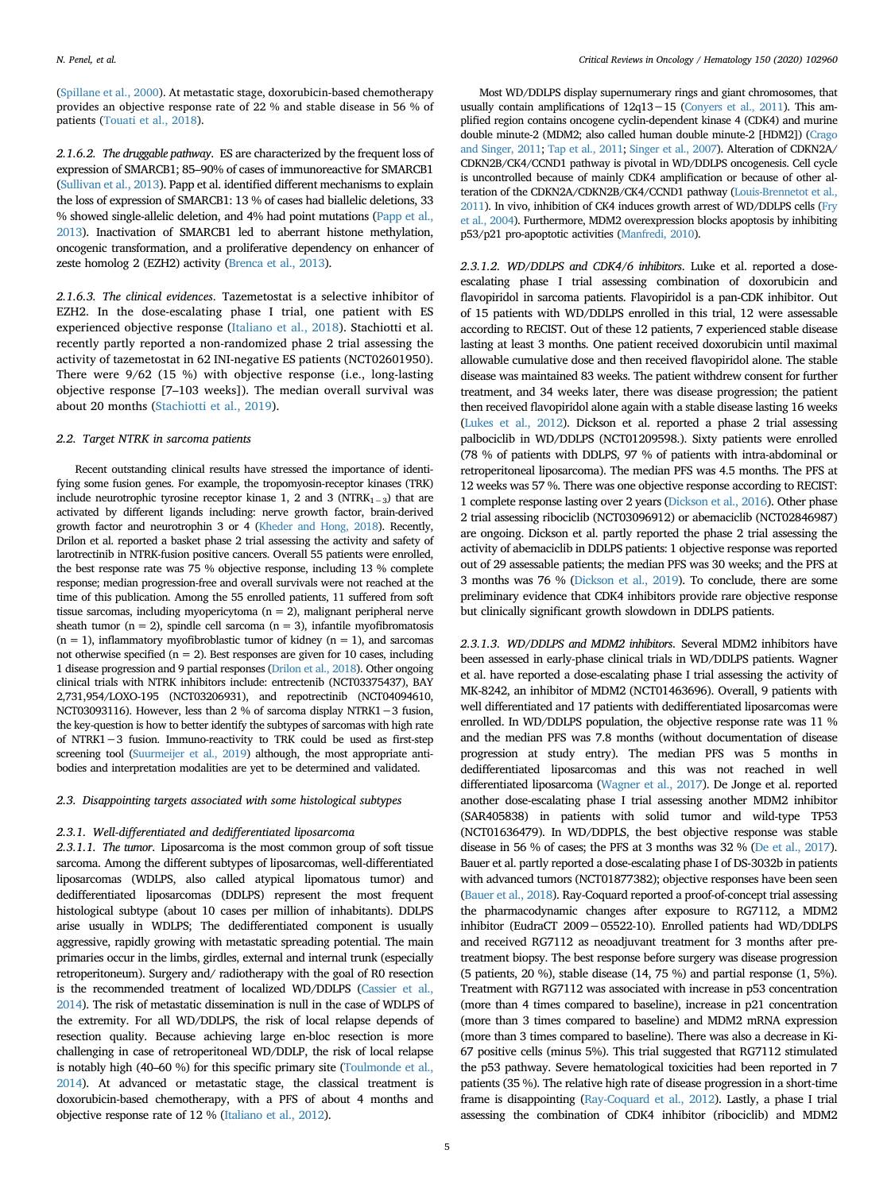[\(Spillane et al., 2000\)](#page-8-4). At metastatic stage, doxorubicin-based chemotherapy provides an objective response rate of 22 % and stable disease in 56 % of patients [\(Touati et al., 2018](#page-8-6)).

*2.1.6.2. The druggable pathway*. ES are characterized by the frequent loss of expression of SMARCB1; 85–90% of cases of immunoreactive for SMARCB1 [\(Sullivan et al., 2013\)](#page-8-7). Papp et al. identified different mechanisms to explain the loss of expression of SMARCB1: 13 % of cases had biallelic deletions, 33 % showed single-allelic deletion, and 4% had point mutations ([Papp et al.,](#page-8-8) [2013\)](#page-8-8). Inactivation of SMARCB1 led to aberrant histone methylation, oncogenic transformation, and a proliferative dependency on enhancer of zeste homolog 2 (EZH2) activity [\(Brenca et al., 2013](#page-8-9)).

*2.1.6.3. The clinical evidences*. Tazemetostat is a selective inhibitor of EZH2. In the dose-escalating phase I trial, one patient with ES experienced objective response [\(Italiano et al., 2018\)](#page-8-10). Stachiotti et al. recently partly reported a non-randomized phase 2 trial assessing the activity of tazemetostat in 62 INI-negative ES patients (NCT02601950). There were 9/62 (15 %) with objective response (i.e., long-lasting objective response [7–103 weeks]). The median overall survival was about 20 months ([Stachiotti et al., 2019\)](#page-8-11).

# *2.2. Target NTRK in sarcoma patients*

Recent outstanding clinical results have stressed the importance of identifying some fusion genes. For example, the tropomyosin-receptor kinases (TRK) include neurotrophic tyrosine receptor kinase 1, 2 and 3 (NTRK<sub>1-3</sub>) that are activated by different ligands including: nerve growth factor, brain-derived growth factor and neurotrophin 3 or 4 [\(Kheder and Hong, 2018\)](#page-8-12). Recently, Drilon et al. reported a basket phase 2 trial assessing the activity and safety of larotrectinib in NTRK-fusion positive cancers. Overall 55 patients were enrolled, the best response rate was 75 % objective response, including 13 % complete response; median progression-free and overall survivals were not reached at the time of this publication. Among the 55 enrolled patients, 11 suffered from soft tissue sarcomas, including myopericytoma ( $n = 2$ ), malignant peripheral nerve sheath tumor ( $n = 2$ ), spindle cell sarcoma ( $n = 3$ ), infantile myofibromatosis  $(n = 1)$ , inflammatory myofibroblastic tumor of kidney  $(n = 1)$ , and sarcomas not otherwise specified ( $n = 2$ ). Best responses are given for 10 cases, including 1 disease progression and 9 partial responses [\(Drilon et al., 2018](#page-8-13)). Other ongoing clinical trials with NTRK inhibitors include: entrectenib (NCT03375437), BAY 2,731,954/LOXO-195 (NCT03206931), and repotrectinib (NCT04094610, NCT03093116). However, less than 2 % of sarcoma display NTRK1−3 fusion, the key-question is how to better identify the subtypes of sarcomas with high rate of NTRK1−3 fusion. Immuno-reactivity to TRK could be used as first-step screening tool [\(Suurmeijer et al., 2019](#page-8-14)) although, the most appropriate antibodies and interpretation modalities are yet to be determined and validated.

## *2.3. Disappointing targets associated with some histological subtypes*

## *2.3.1. Well-differentiated and dedifferentiated liposarcoma*

*2.3.1.1. The tumor*. Liposarcoma is the most common group of soft tissue sarcoma. Among the different subtypes of liposarcomas, well-differentiated liposarcomas (WDLPS, also called atypical lipomatous tumor) and dedifferentiated liposarcomas (DDLPS) represent the most frequent histological subtype (about 10 cases per million of inhabitants). DDLPS arise usually in WDLPS; The dedifferentiated component is usually aggressive, rapidly growing with metastatic spreading potential. The main primaries occur in the limbs, girdles, external and internal trunk (especially retroperitoneum). Surgery and/ radiotherapy with the goal of R0 resection is the recommended treatment of localized WD/DDLPS ([Cassier et al.,](#page-8-15) [2014\)](#page-8-15). The risk of metastatic dissemination is null in the case of WDLPS of the extremity. For all WD/DDLPS, the risk of local relapse depends of resection quality. Because achieving large en-bloc resection is more challenging in case of retroperitoneal WD/DDLP, the risk of local relapse is notably high (40–60 %) for this specific primary site [\(Toulmonde et al.,](#page-8-16) [2014\)](#page-8-16). At advanced or metastatic stage, the classical treatment is doxorubicin-based chemotherapy, with a PFS of about 4 months and objective response rate of 12 % [\(Italiano et al., 2012\)](#page-8-17).

Most WD/DDLPS display supernumerary rings and giant chromosomes, that usually contain amplifications of 12q13−15 [\(Conyers et al., 2011\)](#page-8-18). This amplified region contains oncogene cyclin-dependent kinase 4 (CDK4) and murine double minute-2 (MDM2; also called human double minute-2 [HDM2]) [\(Crago](#page-8-19) [and Singer, 2011](#page-8-19); [Tap et al., 2011;](#page-8-20) [Singer et al., 2007](#page-8-21)). Alteration of CDKN2A/ CDKN2B/CK4/CCND1 pathway is pivotal in WD/DDLPS oncogenesis. Cell cycle is uncontrolled because of mainly CDK4 amplification or because of other alteration of the CDKN2A/CDKN2B/CK4/CCND1 pathway [\(Louis-Brennetot et al.,](#page-8-22) [2011\)](#page-8-22). In vivo, inhibition of CK4 induces growth arrest of WD/DDLPS cells [\(Fry](#page-8-23) [et al., 2004\)](#page-8-23). Furthermore, MDM2 overexpression blocks apoptosis by inhibiting p53/p21 pro-apoptotic activities [\(Manfredi, 2010](#page-8-24)).

*2.3.1.2. WD/DDLPS and CDK4/6 inhibitors*. Luke et al. reported a doseescalating phase I trial assessing combination of doxorubicin and flavopiridol in sarcoma patients. Flavopiridol is a pan-CDK inhibitor. Out of 15 patients with WD/DDLPS enrolled in this trial, 12 were assessable according to RECIST. Out of these 12 patients, 7 experienced stable disease lasting at least 3 months. One patient received doxorubicin until maximal allowable cumulative dose and then received flavopiridol alone. The stable disease was maintained 83 weeks. The patient withdrew consent for further treatment, and 34 weeks later, there was disease progression; the patient then received flavopiridol alone again with a stable disease lasting 16 weeks [\(Lukes et al., 2012\)](#page-8-25). Dickson et al. reported a phase 2 trial assessing palbociclib in WD/DDLPS (NCT01209598.). Sixty patients were enrolled (78 % of patients with DDLPS, 97 % of patients with intra-abdominal or retroperitoneal liposarcoma). The median PFS was 4.5 months. The PFS at 12 weeks was 57 %. There was one objective response according to RECIST: 1 complete response lasting over 2 years [\(Dickson et al., 2016\)](#page-8-26). Other phase 2 trial assessing ribociclib (NCT03096912) or abemaciclib (NCT02846987) are ongoing. Dickson et al. partly reported the phase 2 trial assessing the activity of abemaciclib in DDLPS patients: 1 objective response was reported out of 29 assessable patients; the median PFS was 30 weeks; and the PFS at 3 months was 76 % [\(Dickson et al., 2019](#page-8-27)). To conclude, there are some preliminary evidence that CDK4 inhibitors provide rare objective response but clinically significant growth slowdown in DDLPS patients.

*2.3.1.3. WD/DDLPS and MDM2 inhibitors*. Several MDM2 inhibitors have been assessed in early-phase clinical trials in WD/DDLPS patients. Wagner et al. have reported a dose-escalating phase I trial assessing the activity of MK-8242, an inhibitor of MDM2 (NCT01463696). Overall, 9 patients with well differentiated and 17 patients with dedifferentiated liposarcomas were enrolled. In WD/DDLPS population, the objective response rate was 11 % and the median PFS was 7.8 months (without documentation of disease progression at study entry). The median PFS was 5 months in dedifferentiated liposarcomas and this was not reached in well differentiated liposarcoma [\(Wagner et al., 2017\)](#page-8-28). De Jonge et al. reported another dose-escalating phase I trial assessing another MDM2 inhibitor (SAR405838) in patients with solid tumor and wild-type TP53 (NCT01636479). In WD/DDPLS, the best objective response was stable disease in 56 % of cases; the PFS at 3 months was 32 % ([De et al., 2017\)](#page-8-29). Bauer et al. partly reported a dose-escalating phase I of DS-3032b in patients with advanced tumors (NCT01877382); objective responses have been seen [\(Bauer et al., 2018\)](#page-8-30). Ray-Coquard reported a proof-of-concept trial assessing the pharmacodynamic changes after exposure to RG7112, a MDM2 inhibitor (EudraCT 2009−05522-10). Enrolled patients had WD/DDLPS and received RG7112 as neoadjuvant treatment for 3 months after pretreatment biopsy. The best response before surgery was disease progression (5 patients, 20 %), stable disease (14, 75 %) and partial response (1, 5%). Treatment with RG7112 was associated with increase in p53 concentration (more than 4 times compared to baseline), increase in p21 concentration (more than 3 times compared to baseline) and MDM2 mRNA expression (more than 3 times compared to baseline). There was also a decrease in Ki-67 positive cells (minus 5%). This trial suggested that RG7112 stimulated the p53 pathway. Severe hematological toxicities had been reported in 7 patients (35 %). The relative high rate of disease progression in a short-time frame is disappointing [\(Ray-Coquard et al., 2012\)](#page-8-31). Lastly, a phase I trial assessing the combination of CDK4 inhibitor (ribociclib) and MDM2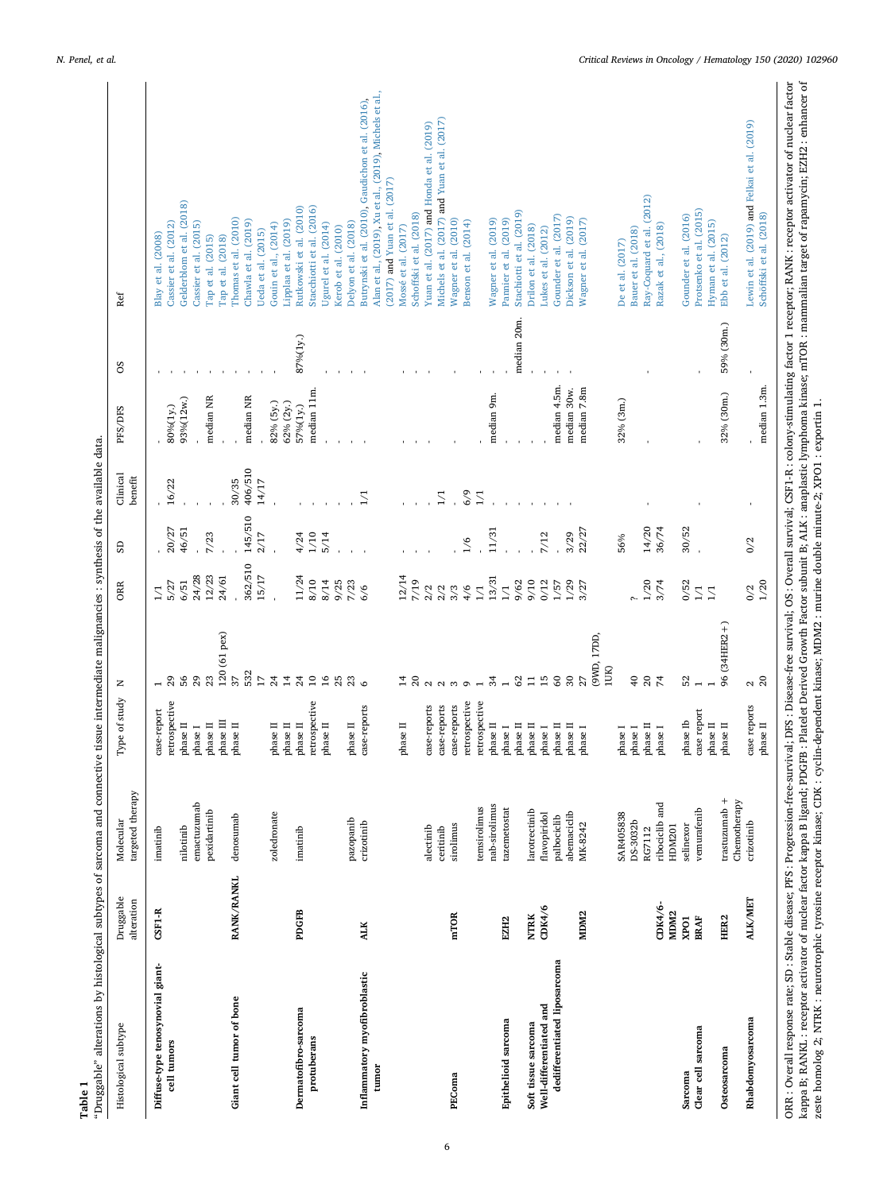<span id="page-5-0"></span>

| $(2017)$ and Yuan et al. $(2017)$<br>Rutkowski et al. (2010)<br>Stacchiotti et al. (2016)<br>Protsenko et al. (2015)<br>Stachiotti et al. (2019)<br>Schöffski et al. (2018)<br>Schoffski et al. (2018)<br>Gounder et al. (2016)<br>Gounder et al. (2017)<br>Dickson et al. (2019)<br>Thomas et al. (2010)<br>Wagner et al. (2010)<br>Wagner et al. (2019)<br>Pannier et al. (2019)<br>Wagner et al. (2017)<br>Chawla et al. (2019)<br>Lipplaa et al. (2019)<br>Benson et al. (2014)<br>Hyman et al. (2015)<br>Delyon et al. (2018)<br>Cassier et al. (2012)<br>Cassier et al. (2015)<br>Gouin et al., (2014)<br>Ugurel et al. (2014)<br>Razak et al., (2018)<br>Drilon et al. (2018)<br>Mossé et al. (2017)<br>Kerob et al. (2010)<br>Bauer et al. (2018)<br>lukes et al. (2012)<br>Jeda et al. (2015)<br>Blay et al. (2008)<br>Tap et al. (2015)<br>Tap et al. (2018)<br>Ebb et al. (2012)<br>De et al. (2017)<br>Ref<br>median 20m.<br>59% (30m.)<br>87%(1y.)<br>8O<br>median 4.5m.<br>median 1.3m.<br>median 7.8m<br>median 11m.<br>median 30w.<br>32% (30m.)<br>median 9m.<br>median NR<br>median NR<br>93%(12w.)<br>32% (3m.)<br>82% (5y.)<br>62% (2y.)<br>57%(1y.)<br>80%(1y.)<br>PFS/DFS<br>406/510<br>Clinical<br>benefit<br>30/35<br>14/17<br>16/22<br>6/9<br>$\overline{1}/1$<br>$\overline{1}/1$<br>$\sum$<br>145/510<br>14/20<br>30/52<br>46/51<br>36/74<br>20/27<br>22/27<br>11/31<br>3/29<br>7/23<br>2/17<br>1/10<br>5/14<br>7/12<br>4/24<br>56%<br>$\frac{6}{2}$<br>0/2<br>G<br>362/510<br>15/17<br>24/28<br>12/23<br>12/14<br>24/61<br>11/24<br>13/31<br>8/10<br>8/14<br>9/25<br>7/23<br>7/19<br>9/62<br>6/51<br>01/6<br>0/12<br>1/57<br>1/29<br>3/74<br>0/52<br>$\frac{0}{2}$<br>1/20<br>5/27<br>3/27<br><b>ORR</b><br>$\overline{C}$<br>$\overline{1}$<br>2/2<br>2/2<br>6/6<br>3/3<br>4/6<br>$\mathop{\supseteq}\limits_{}^{}$<br>$\overline{z}$<br>96 (34HER2+)<br>120 (61 pex)<br>(9WD, 17DD)<br>1UK)<br>532<br>37<br>S6<br>$_{29}$<br>23<br>$\overline{17}$<br>24<br>$\overline{1}$<br>$10$<br>29<br>$\infty$<br><b>ទ ន ដ</b><br>$^{24}$<br>$\overline{a}$<br>25<br>$\frac{23}{6}$<br>34<br>$\overline{15}$<br>$\boldsymbol{50}$<br>52<br>ដ ន<br>$\approx 8$<br>Ξ<br>22<br>$\sim$<br>z<br>Type of study<br>retrospective<br>retrospective<br>$\begin{array}{lll} \text{case-report} \\ \text{retrospective} \end{array}$<br>retrospective<br>case-reports<br>case-reports<br>case-reports<br>case reports<br>case-reports<br>case report<br>$_{\rm phase~II}$ $_{\rm phase~II}$<br>phase Ib<br>$_{\rm phase~II}$<br>phase II<br>$phase\ II$<br>$_{\rm phase~II}$<br>$\,$ phase $\,$ II<br>$\,$ phase $\,$ II<br>$\,$ phase $\,$ II<br>$phase\ II$<br>$\,$ phase $\,$ II<br>$\,$ phase $\,$ II<br>phase II<br>phase II<br>$_{\rm phase\ II}$<br>$\,$ phase II<br>$\,$ phase $\,$ II<br>${\tt phase\ II}$<br>$_{\rm phase\;I}$<br>$_{\rm phase~I}^{\rm phase~II}$<br>$_{\rm phase\ I}$<br>phase I<br>${\tt phase\ I}$<br>${\tt phase\ I}$<br>phase I<br>targeted therapy<br>trastuzumab +<br>Chemotherapy<br>emactuzumab<br>ribociclib and<br>nab-sirolimus<br>temsirolimus<br>tazemetostat<br>vemurafenib<br>larotrectinib<br>pexidartinib<br>zoledronate<br>abemaciclib<br><b>SAR405838</b><br>flavopiridol<br>denosumab<br>palbociclib<br>pazopanib<br>Molecular<br>crizotinib<br>DS-3032b<br>crizotinib<br>MK-8242<br>sirolimus<br>selinexor<br>nilotinib<br>HDM201<br>alectinib<br>imatinib<br>imatinib<br>ceritinib<br>RG7112<br>RANK/RANKL<br>Druggable<br>ALK/MET<br>alteration<br>CDK4/6-<br>CDK4/6<br>$CSH-R$<br>PDGFB<br>MDM <sub>2</sub><br>MDM <sub>2</sub><br>mTOR<br><b>NTRK</b><br>HER <sub>2</sub><br>XPO1<br><b>BRAF</b><br>EZH <sub>2</sub><br><b>ALK</b><br>dedifferentiated liposarcoma<br>Diffuse-type tenosynovial giant-<br>Inflammatory myofibroblastic<br>Giant cell tumor of bone<br>Well-differentiated and<br>Dermatofibro-sarcoma<br>Rhabdomyosarcoma<br>Epithelioid sarcoma<br>Soft tissue sarcoma<br>Histological subtype<br>Clear cell sarcoma<br>protuberans<br>cell tumors<br>Osteosarcoma<br>tumor<br>Sarcoma<br>PEComa | "Druggable" alterations by histological subtypes of sarcoma and connective tissue intermediate malignancies : synthesis of the available data. |  |  |  |  |                                                         |
|--------------------------------------------------------------------------------------------------------------------------------------------------------------------------------------------------------------------------------------------------------------------------------------------------------------------------------------------------------------------------------------------------------------------------------------------------------------------------------------------------------------------------------------------------------------------------------------------------------------------------------------------------------------------------------------------------------------------------------------------------------------------------------------------------------------------------------------------------------------------------------------------------------------------------------------------------------------------------------------------------------------------------------------------------------------------------------------------------------------------------------------------------------------------------------------------------------------------------------------------------------------------------------------------------------------------------------------------------------------------------------------------------------------------------------------------------------------------------------------------------------------------------------------------------------------------------------------------------------------------------------------------------------------------------------------------------------------------------------------------------------------------------------------------------------------------------------------------------------------------------------------------------------------------------------------------------------------------------------------------------------------------------------------------------------------------------------------------------------------------------------------------------------------------------------------------------------------------------------------------------------------------------------------------------------------------------------------------------------------------------------------------------------------------------------------------------------------------------------------------------------------------------------------------------------------------------------------------------------------------------------------------------------------------------------------------------------------------------------------------------------------------------------------------------------------------------------------------------------------------------------------------------------------------------------------------------------------------------------------------------------------------------------------------------------------------------------------------------------------------------------------------------------------------------------------------------------------------------------------------------------------------------------------------------------------------------------------------------------------------------------------------------------------------------------------------------------------------------------------------------------------------------------------------------------------------------------------------------------------------------------------------------------------------------------------------------------------------------------------------------------------------------------------------------------------------------------------------------------------------------------------------------------------------------------------------------------------------------------------------------------------------------------------------------------------------------------|------------------------------------------------------------------------------------------------------------------------------------------------|--|--|--|--|---------------------------------------------------------|
|                                                                                                                                                                                                                                                                                                                                                                                                                                                                                                                                                                                                                                                                                                                                                                                                                                                                                                                                                                                                                                                                                                                                                                                                                                                                                                                                                                                                                                                                                                                                                                                                                                                                                                                                                                                                                                                                                                                                                                                                                                                                                                                                                                                                                                                                                                                                                                                                                                                                                                                                                                                                                                                                                                                                                                                                                                                                                                                                                                                                                                                                                                                                                                                                                                                                                                                                                                                                                                                                                                                                                                                                                                                                                                                                                                                                                                                                                                                                                                                                                                                                                |                                                                                                                                                |  |  |  |  |                                                         |
|                                                                                                                                                                                                                                                                                                                                                                                                                                                                                                                                                                                                                                                                                                                                                                                                                                                                                                                                                                                                                                                                                                                                                                                                                                                                                                                                                                                                                                                                                                                                                                                                                                                                                                                                                                                                                                                                                                                                                                                                                                                                                                                                                                                                                                                                                                                                                                                                                                                                                                                                                                                                                                                                                                                                                                                                                                                                                                                                                                                                                                                                                                                                                                                                                                                                                                                                                                                                                                                                                                                                                                                                                                                                                                                                                                                                                                                                                                                                                                                                                                                                                |                                                                                                                                                |  |  |  |  |                                                         |
|                                                                                                                                                                                                                                                                                                                                                                                                                                                                                                                                                                                                                                                                                                                                                                                                                                                                                                                                                                                                                                                                                                                                                                                                                                                                                                                                                                                                                                                                                                                                                                                                                                                                                                                                                                                                                                                                                                                                                                                                                                                                                                                                                                                                                                                                                                                                                                                                                                                                                                                                                                                                                                                                                                                                                                                                                                                                                                                                                                                                                                                                                                                                                                                                                                                                                                                                                                                                                                                                                                                                                                                                                                                                                                                                                                                                                                                                                                                                                                                                                                                                                |                                                                                                                                                |  |  |  |  |                                                         |
|                                                                                                                                                                                                                                                                                                                                                                                                                                                                                                                                                                                                                                                                                                                                                                                                                                                                                                                                                                                                                                                                                                                                                                                                                                                                                                                                                                                                                                                                                                                                                                                                                                                                                                                                                                                                                                                                                                                                                                                                                                                                                                                                                                                                                                                                                                                                                                                                                                                                                                                                                                                                                                                                                                                                                                                                                                                                                                                                                                                                                                                                                                                                                                                                                                                                                                                                                                                                                                                                                                                                                                                                                                                                                                                                                                                                                                                                                                                                                                                                                                                                                |                                                                                                                                                |  |  |  |  | Gelderblom et al. (2018)                                |
|                                                                                                                                                                                                                                                                                                                                                                                                                                                                                                                                                                                                                                                                                                                                                                                                                                                                                                                                                                                                                                                                                                                                                                                                                                                                                                                                                                                                                                                                                                                                                                                                                                                                                                                                                                                                                                                                                                                                                                                                                                                                                                                                                                                                                                                                                                                                                                                                                                                                                                                                                                                                                                                                                                                                                                                                                                                                                                                                                                                                                                                                                                                                                                                                                                                                                                                                                                                                                                                                                                                                                                                                                                                                                                                                                                                                                                                                                                                                                                                                                                                                                |                                                                                                                                                |  |  |  |  |                                                         |
|                                                                                                                                                                                                                                                                                                                                                                                                                                                                                                                                                                                                                                                                                                                                                                                                                                                                                                                                                                                                                                                                                                                                                                                                                                                                                                                                                                                                                                                                                                                                                                                                                                                                                                                                                                                                                                                                                                                                                                                                                                                                                                                                                                                                                                                                                                                                                                                                                                                                                                                                                                                                                                                                                                                                                                                                                                                                                                                                                                                                                                                                                                                                                                                                                                                                                                                                                                                                                                                                                                                                                                                                                                                                                                                                                                                                                                                                                                                                                                                                                                                                                |                                                                                                                                                |  |  |  |  |                                                         |
|                                                                                                                                                                                                                                                                                                                                                                                                                                                                                                                                                                                                                                                                                                                                                                                                                                                                                                                                                                                                                                                                                                                                                                                                                                                                                                                                                                                                                                                                                                                                                                                                                                                                                                                                                                                                                                                                                                                                                                                                                                                                                                                                                                                                                                                                                                                                                                                                                                                                                                                                                                                                                                                                                                                                                                                                                                                                                                                                                                                                                                                                                                                                                                                                                                                                                                                                                                                                                                                                                                                                                                                                                                                                                                                                                                                                                                                                                                                                                                                                                                                                                |                                                                                                                                                |  |  |  |  |                                                         |
|                                                                                                                                                                                                                                                                                                                                                                                                                                                                                                                                                                                                                                                                                                                                                                                                                                                                                                                                                                                                                                                                                                                                                                                                                                                                                                                                                                                                                                                                                                                                                                                                                                                                                                                                                                                                                                                                                                                                                                                                                                                                                                                                                                                                                                                                                                                                                                                                                                                                                                                                                                                                                                                                                                                                                                                                                                                                                                                                                                                                                                                                                                                                                                                                                                                                                                                                                                                                                                                                                                                                                                                                                                                                                                                                                                                                                                                                                                                                                                                                                                                                                |                                                                                                                                                |  |  |  |  |                                                         |
|                                                                                                                                                                                                                                                                                                                                                                                                                                                                                                                                                                                                                                                                                                                                                                                                                                                                                                                                                                                                                                                                                                                                                                                                                                                                                                                                                                                                                                                                                                                                                                                                                                                                                                                                                                                                                                                                                                                                                                                                                                                                                                                                                                                                                                                                                                                                                                                                                                                                                                                                                                                                                                                                                                                                                                                                                                                                                                                                                                                                                                                                                                                                                                                                                                                                                                                                                                                                                                                                                                                                                                                                                                                                                                                                                                                                                                                                                                                                                                                                                                                                                |                                                                                                                                                |  |  |  |  |                                                         |
|                                                                                                                                                                                                                                                                                                                                                                                                                                                                                                                                                                                                                                                                                                                                                                                                                                                                                                                                                                                                                                                                                                                                                                                                                                                                                                                                                                                                                                                                                                                                                                                                                                                                                                                                                                                                                                                                                                                                                                                                                                                                                                                                                                                                                                                                                                                                                                                                                                                                                                                                                                                                                                                                                                                                                                                                                                                                                                                                                                                                                                                                                                                                                                                                                                                                                                                                                                                                                                                                                                                                                                                                                                                                                                                                                                                                                                                                                                                                                                                                                                                                                |                                                                                                                                                |  |  |  |  |                                                         |
|                                                                                                                                                                                                                                                                                                                                                                                                                                                                                                                                                                                                                                                                                                                                                                                                                                                                                                                                                                                                                                                                                                                                                                                                                                                                                                                                                                                                                                                                                                                                                                                                                                                                                                                                                                                                                                                                                                                                                                                                                                                                                                                                                                                                                                                                                                                                                                                                                                                                                                                                                                                                                                                                                                                                                                                                                                                                                                                                                                                                                                                                                                                                                                                                                                                                                                                                                                                                                                                                                                                                                                                                                                                                                                                                                                                                                                                                                                                                                                                                                                                                                |                                                                                                                                                |  |  |  |  |                                                         |
|                                                                                                                                                                                                                                                                                                                                                                                                                                                                                                                                                                                                                                                                                                                                                                                                                                                                                                                                                                                                                                                                                                                                                                                                                                                                                                                                                                                                                                                                                                                                                                                                                                                                                                                                                                                                                                                                                                                                                                                                                                                                                                                                                                                                                                                                                                                                                                                                                                                                                                                                                                                                                                                                                                                                                                                                                                                                                                                                                                                                                                                                                                                                                                                                                                                                                                                                                                                                                                                                                                                                                                                                                                                                                                                                                                                                                                                                                                                                                                                                                                                                                |                                                                                                                                                |  |  |  |  |                                                         |
|                                                                                                                                                                                                                                                                                                                                                                                                                                                                                                                                                                                                                                                                                                                                                                                                                                                                                                                                                                                                                                                                                                                                                                                                                                                                                                                                                                                                                                                                                                                                                                                                                                                                                                                                                                                                                                                                                                                                                                                                                                                                                                                                                                                                                                                                                                                                                                                                                                                                                                                                                                                                                                                                                                                                                                                                                                                                                                                                                                                                                                                                                                                                                                                                                                                                                                                                                                                                                                                                                                                                                                                                                                                                                                                                                                                                                                                                                                                                                                                                                                                                                |                                                                                                                                                |  |  |  |  |                                                         |
|                                                                                                                                                                                                                                                                                                                                                                                                                                                                                                                                                                                                                                                                                                                                                                                                                                                                                                                                                                                                                                                                                                                                                                                                                                                                                                                                                                                                                                                                                                                                                                                                                                                                                                                                                                                                                                                                                                                                                                                                                                                                                                                                                                                                                                                                                                                                                                                                                                                                                                                                                                                                                                                                                                                                                                                                                                                                                                                                                                                                                                                                                                                                                                                                                                                                                                                                                                                                                                                                                                                                                                                                                                                                                                                                                                                                                                                                                                                                                                                                                                                                                |                                                                                                                                                |  |  |  |  |                                                         |
|                                                                                                                                                                                                                                                                                                                                                                                                                                                                                                                                                                                                                                                                                                                                                                                                                                                                                                                                                                                                                                                                                                                                                                                                                                                                                                                                                                                                                                                                                                                                                                                                                                                                                                                                                                                                                                                                                                                                                                                                                                                                                                                                                                                                                                                                                                                                                                                                                                                                                                                                                                                                                                                                                                                                                                                                                                                                                                                                                                                                                                                                                                                                                                                                                                                                                                                                                                                                                                                                                                                                                                                                                                                                                                                                                                                                                                                                                                                                                                                                                                                                                |                                                                                                                                                |  |  |  |  |                                                         |
|                                                                                                                                                                                                                                                                                                                                                                                                                                                                                                                                                                                                                                                                                                                                                                                                                                                                                                                                                                                                                                                                                                                                                                                                                                                                                                                                                                                                                                                                                                                                                                                                                                                                                                                                                                                                                                                                                                                                                                                                                                                                                                                                                                                                                                                                                                                                                                                                                                                                                                                                                                                                                                                                                                                                                                                                                                                                                                                                                                                                                                                                                                                                                                                                                                                                                                                                                                                                                                                                                                                                                                                                                                                                                                                                                                                                                                                                                                                                                                                                                                                                                |                                                                                                                                                |  |  |  |  |                                                         |
|                                                                                                                                                                                                                                                                                                                                                                                                                                                                                                                                                                                                                                                                                                                                                                                                                                                                                                                                                                                                                                                                                                                                                                                                                                                                                                                                                                                                                                                                                                                                                                                                                                                                                                                                                                                                                                                                                                                                                                                                                                                                                                                                                                                                                                                                                                                                                                                                                                                                                                                                                                                                                                                                                                                                                                                                                                                                                                                                                                                                                                                                                                                                                                                                                                                                                                                                                                                                                                                                                                                                                                                                                                                                                                                                                                                                                                                                                                                                                                                                                                                                                |                                                                                                                                                |  |  |  |  |                                                         |
|                                                                                                                                                                                                                                                                                                                                                                                                                                                                                                                                                                                                                                                                                                                                                                                                                                                                                                                                                                                                                                                                                                                                                                                                                                                                                                                                                                                                                                                                                                                                                                                                                                                                                                                                                                                                                                                                                                                                                                                                                                                                                                                                                                                                                                                                                                                                                                                                                                                                                                                                                                                                                                                                                                                                                                                                                                                                                                                                                                                                                                                                                                                                                                                                                                                                                                                                                                                                                                                                                                                                                                                                                                                                                                                                                                                                                                                                                                                                                                                                                                                                                |                                                                                                                                                |  |  |  |  | Butrynski et al. (2010), Gaudichon et al. (2016),       |
|                                                                                                                                                                                                                                                                                                                                                                                                                                                                                                                                                                                                                                                                                                                                                                                                                                                                                                                                                                                                                                                                                                                                                                                                                                                                                                                                                                                                                                                                                                                                                                                                                                                                                                                                                                                                                                                                                                                                                                                                                                                                                                                                                                                                                                                                                                                                                                                                                                                                                                                                                                                                                                                                                                                                                                                                                                                                                                                                                                                                                                                                                                                                                                                                                                                                                                                                                                                                                                                                                                                                                                                                                                                                                                                                                                                                                                                                                                                                                                                                                                                                                |                                                                                                                                                |  |  |  |  | Alan et al., (2019), Xu et al., (2019), Michels et al., |
|                                                                                                                                                                                                                                                                                                                                                                                                                                                                                                                                                                                                                                                                                                                                                                                                                                                                                                                                                                                                                                                                                                                                                                                                                                                                                                                                                                                                                                                                                                                                                                                                                                                                                                                                                                                                                                                                                                                                                                                                                                                                                                                                                                                                                                                                                                                                                                                                                                                                                                                                                                                                                                                                                                                                                                                                                                                                                                                                                                                                                                                                                                                                                                                                                                                                                                                                                                                                                                                                                                                                                                                                                                                                                                                                                                                                                                                                                                                                                                                                                                                                                |                                                                                                                                                |  |  |  |  |                                                         |
|                                                                                                                                                                                                                                                                                                                                                                                                                                                                                                                                                                                                                                                                                                                                                                                                                                                                                                                                                                                                                                                                                                                                                                                                                                                                                                                                                                                                                                                                                                                                                                                                                                                                                                                                                                                                                                                                                                                                                                                                                                                                                                                                                                                                                                                                                                                                                                                                                                                                                                                                                                                                                                                                                                                                                                                                                                                                                                                                                                                                                                                                                                                                                                                                                                                                                                                                                                                                                                                                                                                                                                                                                                                                                                                                                                                                                                                                                                                                                                                                                                                                                |                                                                                                                                                |  |  |  |  |                                                         |
|                                                                                                                                                                                                                                                                                                                                                                                                                                                                                                                                                                                                                                                                                                                                                                                                                                                                                                                                                                                                                                                                                                                                                                                                                                                                                                                                                                                                                                                                                                                                                                                                                                                                                                                                                                                                                                                                                                                                                                                                                                                                                                                                                                                                                                                                                                                                                                                                                                                                                                                                                                                                                                                                                                                                                                                                                                                                                                                                                                                                                                                                                                                                                                                                                                                                                                                                                                                                                                                                                                                                                                                                                                                                                                                                                                                                                                                                                                                                                                                                                                                                                |                                                                                                                                                |  |  |  |  |                                                         |
|                                                                                                                                                                                                                                                                                                                                                                                                                                                                                                                                                                                                                                                                                                                                                                                                                                                                                                                                                                                                                                                                                                                                                                                                                                                                                                                                                                                                                                                                                                                                                                                                                                                                                                                                                                                                                                                                                                                                                                                                                                                                                                                                                                                                                                                                                                                                                                                                                                                                                                                                                                                                                                                                                                                                                                                                                                                                                                                                                                                                                                                                                                                                                                                                                                                                                                                                                                                                                                                                                                                                                                                                                                                                                                                                                                                                                                                                                                                                                                                                                                                                                |                                                                                                                                                |  |  |  |  | Yuan et al. (2017) and Honda et al. (2019)              |
|                                                                                                                                                                                                                                                                                                                                                                                                                                                                                                                                                                                                                                                                                                                                                                                                                                                                                                                                                                                                                                                                                                                                                                                                                                                                                                                                                                                                                                                                                                                                                                                                                                                                                                                                                                                                                                                                                                                                                                                                                                                                                                                                                                                                                                                                                                                                                                                                                                                                                                                                                                                                                                                                                                                                                                                                                                                                                                                                                                                                                                                                                                                                                                                                                                                                                                                                                                                                                                                                                                                                                                                                                                                                                                                                                                                                                                                                                                                                                                                                                                                                                |                                                                                                                                                |  |  |  |  | Michels et al. (2017) and Yuan et al. (2017)            |
|                                                                                                                                                                                                                                                                                                                                                                                                                                                                                                                                                                                                                                                                                                                                                                                                                                                                                                                                                                                                                                                                                                                                                                                                                                                                                                                                                                                                                                                                                                                                                                                                                                                                                                                                                                                                                                                                                                                                                                                                                                                                                                                                                                                                                                                                                                                                                                                                                                                                                                                                                                                                                                                                                                                                                                                                                                                                                                                                                                                                                                                                                                                                                                                                                                                                                                                                                                                                                                                                                                                                                                                                                                                                                                                                                                                                                                                                                                                                                                                                                                                                                |                                                                                                                                                |  |  |  |  |                                                         |
|                                                                                                                                                                                                                                                                                                                                                                                                                                                                                                                                                                                                                                                                                                                                                                                                                                                                                                                                                                                                                                                                                                                                                                                                                                                                                                                                                                                                                                                                                                                                                                                                                                                                                                                                                                                                                                                                                                                                                                                                                                                                                                                                                                                                                                                                                                                                                                                                                                                                                                                                                                                                                                                                                                                                                                                                                                                                                                                                                                                                                                                                                                                                                                                                                                                                                                                                                                                                                                                                                                                                                                                                                                                                                                                                                                                                                                                                                                                                                                                                                                                                                |                                                                                                                                                |  |  |  |  |                                                         |
|                                                                                                                                                                                                                                                                                                                                                                                                                                                                                                                                                                                                                                                                                                                                                                                                                                                                                                                                                                                                                                                                                                                                                                                                                                                                                                                                                                                                                                                                                                                                                                                                                                                                                                                                                                                                                                                                                                                                                                                                                                                                                                                                                                                                                                                                                                                                                                                                                                                                                                                                                                                                                                                                                                                                                                                                                                                                                                                                                                                                                                                                                                                                                                                                                                                                                                                                                                                                                                                                                                                                                                                                                                                                                                                                                                                                                                                                                                                                                                                                                                                                                |                                                                                                                                                |  |  |  |  |                                                         |
|                                                                                                                                                                                                                                                                                                                                                                                                                                                                                                                                                                                                                                                                                                                                                                                                                                                                                                                                                                                                                                                                                                                                                                                                                                                                                                                                                                                                                                                                                                                                                                                                                                                                                                                                                                                                                                                                                                                                                                                                                                                                                                                                                                                                                                                                                                                                                                                                                                                                                                                                                                                                                                                                                                                                                                                                                                                                                                                                                                                                                                                                                                                                                                                                                                                                                                                                                                                                                                                                                                                                                                                                                                                                                                                                                                                                                                                                                                                                                                                                                                                                                |                                                                                                                                                |  |  |  |  |                                                         |
|                                                                                                                                                                                                                                                                                                                                                                                                                                                                                                                                                                                                                                                                                                                                                                                                                                                                                                                                                                                                                                                                                                                                                                                                                                                                                                                                                                                                                                                                                                                                                                                                                                                                                                                                                                                                                                                                                                                                                                                                                                                                                                                                                                                                                                                                                                                                                                                                                                                                                                                                                                                                                                                                                                                                                                                                                                                                                                                                                                                                                                                                                                                                                                                                                                                                                                                                                                                                                                                                                                                                                                                                                                                                                                                                                                                                                                                                                                                                                                                                                                                                                |                                                                                                                                                |  |  |  |  |                                                         |
|                                                                                                                                                                                                                                                                                                                                                                                                                                                                                                                                                                                                                                                                                                                                                                                                                                                                                                                                                                                                                                                                                                                                                                                                                                                                                                                                                                                                                                                                                                                                                                                                                                                                                                                                                                                                                                                                                                                                                                                                                                                                                                                                                                                                                                                                                                                                                                                                                                                                                                                                                                                                                                                                                                                                                                                                                                                                                                                                                                                                                                                                                                                                                                                                                                                                                                                                                                                                                                                                                                                                                                                                                                                                                                                                                                                                                                                                                                                                                                                                                                                                                |                                                                                                                                                |  |  |  |  |                                                         |
|                                                                                                                                                                                                                                                                                                                                                                                                                                                                                                                                                                                                                                                                                                                                                                                                                                                                                                                                                                                                                                                                                                                                                                                                                                                                                                                                                                                                                                                                                                                                                                                                                                                                                                                                                                                                                                                                                                                                                                                                                                                                                                                                                                                                                                                                                                                                                                                                                                                                                                                                                                                                                                                                                                                                                                                                                                                                                                                                                                                                                                                                                                                                                                                                                                                                                                                                                                                                                                                                                                                                                                                                                                                                                                                                                                                                                                                                                                                                                                                                                                                                                |                                                                                                                                                |  |  |  |  |                                                         |
|                                                                                                                                                                                                                                                                                                                                                                                                                                                                                                                                                                                                                                                                                                                                                                                                                                                                                                                                                                                                                                                                                                                                                                                                                                                                                                                                                                                                                                                                                                                                                                                                                                                                                                                                                                                                                                                                                                                                                                                                                                                                                                                                                                                                                                                                                                                                                                                                                                                                                                                                                                                                                                                                                                                                                                                                                                                                                                                                                                                                                                                                                                                                                                                                                                                                                                                                                                                                                                                                                                                                                                                                                                                                                                                                                                                                                                                                                                                                                                                                                                                                                |                                                                                                                                                |  |  |  |  |                                                         |
|                                                                                                                                                                                                                                                                                                                                                                                                                                                                                                                                                                                                                                                                                                                                                                                                                                                                                                                                                                                                                                                                                                                                                                                                                                                                                                                                                                                                                                                                                                                                                                                                                                                                                                                                                                                                                                                                                                                                                                                                                                                                                                                                                                                                                                                                                                                                                                                                                                                                                                                                                                                                                                                                                                                                                                                                                                                                                                                                                                                                                                                                                                                                                                                                                                                                                                                                                                                                                                                                                                                                                                                                                                                                                                                                                                                                                                                                                                                                                                                                                                                                                |                                                                                                                                                |  |  |  |  |                                                         |
|                                                                                                                                                                                                                                                                                                                                                                                                                                                                                                                                                                                                                                                                                                                                                                                                                                                                                                                                                                                                                                                                                                                                                                                                                                                                                                                                                                                                                                                                                                                                                                                                                                                                                                                                                                                                                                                                                                                                                                                                                                                                                                                                                                                                                                                                                                                                                                                                                                                                                                                                                                                                                                                                                                                                                                                                                                                                                                                                                                                                                                                                                                                                                                                                                                                                                                                                                                                                                                                                                                                                                                                                                                                                                                                                                                                                                                                                                                                                                                                                                                                                                |                                                                                                                                                |  |  |  |  |                                                         |
|                                                                                                                                                                                                                                                                                                                                                                                                                                                                                                                                                                                                                                                                                                                                                                                                                                                                                                                                                                                                                                                                                                                                                                                                                                                                                                                                                                                                                                                                                                                                                                                                                                                                                                                                                                                                                                                                                                                                                                                                                                                                                                                                                                                                                                                                                                                                                                                                                                                                                                                                                                                                                                                                                                                                                                                                                                                                                                                                                                                                                                                                                                                                                                                                                                                                                                                                                                                                                                                                                                                                                                                                                                                                                                                                                                                                                                                                                                                                                                                                                                                                                |                                                                                                                                                |  |  |  |  |                                                         |
|                                                                                                                                                                                                                                                                                                                                                                                                                                                                                                                                                                                                                                                                                                                                                                                                                                                                                                                                                                                                                                                                                                                                                                                                                                                                                                                                                                                                                                                                                                                                                                                                                                                                                                                                                                                                                                                                                                                                                                                                                                                                                                                                                                                                                                                                                                                                                                                                                                                                                                                                                                                                                                                                                                                                                                                                                                                                                                                                                                                                                                                                                                                                                                                                                                                                                                                                                                                                                                                                                                                                                                                                                                                                                                                                                                                                                                                                                                                                                                                                                                                                                |                                                                                                                                                |  |  |  |  |                                                         |
|                                                                                                                                                                                                                                                                                                                                                                                                                                                                                                                                                                                                                                                                                                                                                                                                                                                                                                                                                                                                                                                                                                                                                                                                                                                                                                                                                                                                                                                                                                                                                                                                                                                                                                                                                                                                                                                                                                                                                                                                                                                                                                                                                                                                                                                                                                                                                                                                                                                                                                                                                                                                                                                                                                                                                                                                                                                                                                                                                                                                                                                                                                                                                                                                                                                                                                                                                                                                                                                                                                                                                                                                                                                                                                                                                                                                                                                                                                                                                                                                                                                                                |                                                                                                                                                |  |  |  |  |                                                         |
|                                                                                                                                                                                                                                                                                                                                                                                                                                                                                                                                                                                                                                                                                                                                                                                                                                                                                                                                                                                                                                                                                                                                                                                                                                                                                                                                                                                                                                                                                                                                                                                                                                                                                                                                                                                                                                                                                                                                                                                                                                                                                                                                                                                                                                                                                                                                                                                                                                                                                                                                                                                                                                                                                                                                                                                                                                                                                                                                                                                                                                                                                                                                                                                                                                                                                                                                                                                                                                                                                                                                                                                                                                                                                                                                                                                                                                                                                                                                                                                                                                                                                |                                                                                                                                                |  |  |  |  |                                                         |
|                                                                                                                                                                                                                                                                                                                                                                                                                                                                                                                                                                                                                                                                                                                                                                                                                                                                                                                                                                                                                                                                                                                                                                                                                                                                                                                                                                                                                                                                                                                                                                                                                                                                                                                                                                                                                                                                                                                                                                                                                                                                                                                                                                                                                                                                                                                                                                                                                                                                                                                                                                                                                                                                                                                                                                                                                                                                                                                                                                                                                                                                                                                                                                                                                                                                                                                                                                                                                                                                                                                                                                                                                                                                                                                                                                                                                                                                                                                                                                                                                                                                                |                                                                                                                                                |  |  |  |  |                                                         |
|                                                                                                                                                                                                                                                                                                                                                                                                                                                                                                                                                                                                                                                                                                                                                                                                                                                                                                                                                                                                                                                                                                                                                                                                                                                                                                                                                                                                                                                                                                                                                                                                                                                                                                                                                                                                                                                                                                                                                                                                                                                                                                                                                                                                                                                                                                                                                                                                                                                                                                                                                                                                                                                                                                                                                                                                                                                                                                                                                                                                                                                                                                                                                                                                                                                                                                                                                                                                                                                                                                                                                                                                                                                                                                                                                                                                                                                                                                                                                                                                                                                                                |                                                                                                                                                |  |  |  |  |                                                         |
|                                                                                                                                                                                                                                                                                                                                                                                                                                                                                                                                                                                                                                                                                                                                                                                                                                                                                                                                                                                                                                                                                                                                                                                                                                                                                                                                                                                                                                                                                                                                                                                                                                                                                                                                                                                                                                                                                                                                                                                                                                                                                                                                                                                                                                                                                                                                                                                                                                                                                                                                                                                                                                                                                                                                                                                                                                                                                                                                                                                                                                                                                                                                                                                                                                                                                                                                                                                                                                                                                                                                                                                                                                                                                                                                                                                                                                                                                                                                                                                                                                                                                |                                                                                                                                                |  |  |  |  | Ray-Coquard et al. (2012)                               |
|                                                                                                                                                                                                                                                                                                                                                                                                                                                                                                                                                                                                                                                                                                                                                                                                                                                                                                                                                                                                                                                                                                                                                                                                                                                                                                                                                                                                                                                                                                                                                                                                                                                                                                                                                                                                                                                                                                                                                                                                                                                                                                                                                                                                                                                                                                                                                                                                                                                                                                                                                                                                                                                                                                                                                                                                                                                                                                                                                                                                                                                                                                                                                                                                                                                                                                                                                                                                                                                                                                                                                                                                                                                                                                                                                                                                                                                                                                                                                                                                                                                                                |                                                                                                                                                |  |  |  |  |                                                         |
|                                                                                                                                                                                                                                                                                                                                                                                                                                                                                                                                                                                                                                                                                                                                                                                                                                                                                                                                                                                                                                                                                                                                                                                                                                                                                                                                                                                                                                                                                                                                                                                                                                                                                                                                                                                                                                                                                                                                                                                                                                                                                                                                                                                                                                                                                                                                                                                                                                                                                                                                                                                                                                                                                                                                                                                                                                                                                                                                                                                                                                                                                                                                                                                                                                                                                                                                                                                                                                                                                                                                                                                                                                                                                                                                                                                                                                                                                                                                                                                                                                                                                |                                                                                                                                                |  |  |  |  |                                                         |
|                                                                                                                                                                                                                                                                                                                                                                                                                                                                                                                                                                                                                                                                                                                                                                                                                                                                                                                                                                                                                                                                                                                                                                                                                                                                                                                                                                                                                                                                                                                                                                                                                                                                                                                                                                                                                                                                                                                                                                                                                                                                                                                                                                                                                                                                                                                                                                                                                                                                                                                                                                                                                                                                                                                                                                                                                                                                                                                                                                                                                                                                                                                                                                                                                                                                                                                                                                                                                                                                                                                                                                                                                                                                                                                                                                                                                                                                                                                                                                                                                                                                                |                                                                                                                                                |  |  |  |  |                                                         |
|                                                                                                                                                                                                                                                                                                                                                                                                                                                                                                                                                                                                                                                                                                                                                                                                                                                                                                                                                                                                                                                                                                                                                                                                                                                                                                                                                                                                                                                                                                                                                                                                                                                                                                                                                                                                                                                                                                                                                                                                                                                                                                                                                                                                                                                                                                                                                                                                                                                                                                                                                                                                                                                                                                                                                                                                                                                                                                                                                                                                                                                                                                                                                                                                                                                                                                                                                                                                                                                                                                                                                                                                                                                                                                                                                                                                                                                                                                                                                                                                                                                                                |                                                                                                                                                |  |  |  |  |                                                         |
|                                                                                                                                                                                                                                                                                                                                                                                                                                                                                                                                                                                                                                                                                                                                                                                                                                                                                                                                                                                                                                                                                                                                                                                                                                                                                                                                                                                                                                                                                                                                                                                                                                                                                                                                                                                                                                                                                                                                                                                                                                                                                                                                                                                                                                                                                                                                                                                                                                                                                                                                                                                                                                                                                                                                                                                                                                                                                                                                                                                                                                                                                                                                                                                                                                                                                                                                                                                                                                                                                                                                                                                                                                                                                                                                                                                                                                                                                                                                                                                                                                                                                |                                                                                                                                                |  |  |  |  |                                                         |
|                                                                                                                                                                                                                                                                                                                                                                                                                                                                                                                                                                                                                                                                                                                                                                                                                                                                                                                                                                                                                                                                                                                                                                                                                                                                                                                                                                                                                                                                                                                                                                                                                                                                                                                                                                                                                                                                                                                                                                                                                                                                                                                                                                                                                                                                                                                                                                                                                                                                                                                                                                                                                                                                                                                                                                                                                                                                                                                                                                                                                                                                                                                                                                                                                                                                                                                                                                                                                                                                                                                                                                                                                                                                                                                                                                                                                                                                                                                                                                                                                                                                                |                                                                                                                                                |  |  |  |  |                                                         |
|                                                                                                                                                                                                                                                                                                                                                                                                                                                                                                                                                                                                                                                                                                                                                                                                                                                                                                                                                                                                                                                                                                                                                                                                                                                                                                                                                                                                                                                                                                                                                                                                                                                                                                                                                                                                                                                                                                                                                                                                                                                                                                                                                                                                                                                                                                                                                                                                                                                                                                                                                                                                                                                                                                                                                                                                                                                                                                                                                                                                                                                                                                                                                                                                                                                                                                                                                                                                                                                                                                                                                                                                                                                                                                                                                                                                                                                                                                                                                                                                                                                                                |                                                                                                                                                |  |  |  |  | Lewin et al. (2019) and Felkai et al. (2019)            |
|                                                                                                                                                                                                                                                                                                                                                                                                                                                                                                                                                                                                                                                                                                                                                                                                                                                                                                                                                                                                                                                                                                                                                                                                                                                                                                                                                                                                                                                                                                                                                                                                                                                                                                                                                                                                                                                                                                                                                                                                                                                                                                                                                                                                                                                                                                                                                                                                                                                                                                                                                                                                                                                                                                                                                                                                                                                                                                                                                                                                                                                                                                                                                                                                                                                                                                                                                                                                                                                                                                                                                                                                                                                                                                                                                                                                                                                                                                                                                                                                                                                                                |                                                                                                                                                |  |  |  |  |                                                         |
|                                                                                                                                                                                                                                                                                                                                                                                                                                                                                                                                                                                                                                                                                                                                                                                                                                                                                                                                                                                                                                                                                                                                                                                                                                                                                                                                                                                                                                                                                                                                                                                                                                                                                                                                                                                                                                                                                                                                                                                                                                                                                                                                                                                                                                                                                                                                                                                                                                                                                                                                                                                                                                                                                                                                                                                                                                                                                                                                                                                                                                                                                                                                                                                                                                                                                                                                                                                                                                                                                                                                                                                                                                                                                                                                                                                                                                                                                                                                                                                                                                                                                |                                                                                                                                                |  |  |  |  |                                                         |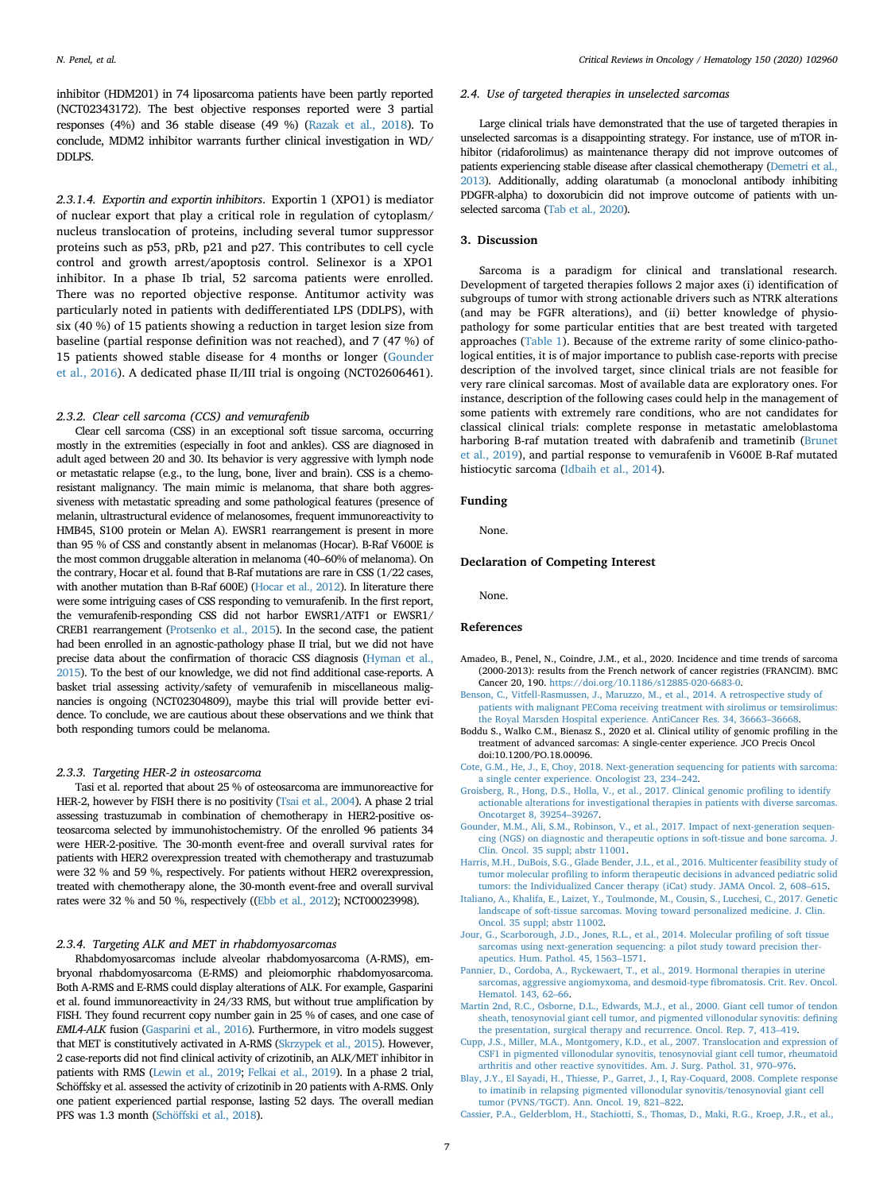inhibitor (HDM201) in 74 liposarcoma patients have been partly reported (NCT02343172). The best objective responses reported were 3 partial responses (4%) and 36 stable disease (49 %) [\(Razak et al., 2018\)](#page-8-32). To conclude, MDM2 inhibitor warrants further clinical investigation in WD/ DDLPS.

*2.3.1.4. Exportin and exportin inhibitors*. Exportin 1 (XPO1) is mediator of nuclear export that play a critical role in regulation of cytoplasm/ nucleus translocation of proteins, including several tumor suppressor proteins such as p53, pRb, p21 and p27. This contributes to cell cycle control and growth arrest/apoptosis control. Selinexor is a XPO1 inhibitor. In a phase Ib trial, 52 sarcoma patients were enrolled. There was no reported objective response. Antitumor activity was particularly noted in patients with dedifferentiated LPS (DDLPS), with six (40 %) of 15 patients showing a reduction in target lesion size from baseline (partial response definition was not reached), and 7 (47 %) of 15 patients showed stable disease for 4 months or longer [\(Gounder](#page-8-33) [et al., 2016](#page-8-33)). A dedicated phase II/III trial is ongoing (NCT02606461).

## *2.3.2. Clear cell sarcoma (CCS) and vemurafenib*

Clear cell sarcoma (CSS) in an exceptional soft tissue sarcoma, occurring mostly in the extremities (especially in foot and ankles). CSS are diagnosed in adult aged between 20 and 30. Its behavior is very aggressive with lymph node or metastatic relapse (e.g., to the lung, bone, liver and brain). CSS is a chemoresistant malignancy. The main mimic is melanoma, that share both aggressiveness with metastatic spreading and some pathological features (presence of melanin, ultrastructural evidence of melanosomes, frequent immunoreactivity to HMB45, S100 protein or Melan A). EWSR1 rearrangement is present in more than 95 % of CSS and constantly absent in melanomas (Hocar). B-Raf V600E is the most common druggable alteration in melanoma (40–60% of melanoma). On the contrary, Hocar et al. found that B-Raf mutations are rare in CSS (1/22 cases, with another mutation than B-Raf 600E) ([Hocar et al., 2012](#page-8-40)). In literature there were some intriguing cases of CSS responding to vemurafenib. In the first report, the vemurafenib-responding CSS did not harbor EWSR1/ATF1 or EWSR1/ CREB1 rearrangement [\(Protsenko et al., 2015](#page-8-34)). In the second case, the patient had been enrolled in an agnostic-pathology phase II trial, but we did not have precise data about the confirmation of thoracic CSS diagnosis [\(Hyman et al.,](#page-8-35) [2015\)](#page-8-35). To the best of our knowledge, we did not find additional case-reports. A basket trial assessing activity/safety of vemurafenib in miscellaneous malignancies is ongoing (NCT02304809), maybe this trial will provide better evidence. To conclude, we are cautious about these observations and we think that both responding tumors could be melanoma.

### *2.3.3. Targeting HER-2 in osteosarcoma*

Tasi et al. reported that about 25 % of osteosarcoma are immunoreactive for HER-2, however by FISH there is no positivity [\(Tsai et al., 2004](#page-8-41)). A phase 2 trial assessing trastuzumab in combination of chemotherapy in HER2-positive osteosarcoma selected by immunohistochemistry. Of the enrolled 96 patients 34 were HER-2-positive. The 30-month event-free and overall survival rates for patients with HER2 overexpression treated with chemotherapy and trastuzumab were 32 % and 59 %, respectively. For patients without HER2 overexpression, treated with chemotherapy alone, the 30-month event-free and overall survival rates were 32 % and 50 %, respectively ([\(Ebb et al., 2012](#page-8-36)); NCT00023998).

# *2.3.4. Targeting ALK and MET in rhabdomyosarcomas*

Rhabdomyosarcomas include alveolar rhabdomyosarcoma (A-RMS), embryonal rhabdomyosarcoma (E-RMS) and pleiomorphic rhabdomyosarcoma. Both A-RMS and E-RMS could display alterations of ALK. For example, Gasparini et al. found immunoreactivity in 24/33 RMS, but without true amplification by FISH. They found recurrent copy number gain in 25 % of cases, and one case of *EML4-ALK* fusion [\(Gasparini et al., 2016](#page-8-42)). Furthermore, in vitro models suggest that MET is constitutively activated in A-RMS ([Skrzypek et al., 2015\)](#page-8-43). However, 2 case-reports did not find clinical activity of crizotinib, an ALK/MET inhibitor in patients with RMS [\(Lewin et al., 2019](#page-8-37); [Felkai et al., 2019](#page-8-38)). In a phase 2 trial, Schöffsky et al. assessed the activity of crizotinib in 20 patients with A-RMS. Only one patient experienced partial response, lasting 52 days. The overall median PFS was 1.3 month [\(Schöffski et al., 2018\)](#page-8-39).

## *2.4. Use of targeted therapies in unselected sarcomas*

Large clinical trials have demonstrated that the use of targeted therapies in unselected sarcomas is a disappointing strategy. For instance, use of mTOR inhibitor (ridaforolimus) as maintenance therapy did not improve outcomes of patients experiencing stable disease after classical chemotherapy [\(Demetri et al.,](#page-8-44) [2013\)](#page-8-44). Additionally, adding olaratumab (a monoclonal antibody inhibiting PDGFR-alpha) to doxorubicin did not improve outcome of patients with unselected sarcoma ([Tab et al., 2020](#page-8-45)).

#### **3. Discussion**

Sarcoma is a paradigm for clinical and translational research. Development of targeted therapies follows 2 major axes (i) identification of subgroups of tumor with strong actionable drivers such as NTRK alterations (and may be FGFR alterations), and (ii) better knowledge of physiopathology for some particular entities that are best treated with targeted approaches [\(Table 1](#page-5-0)). Because of the extreme rarity of some clinico-pathological entities, it is of major importance to publish case-reports with precise description of the involved target, since clinical trials are not feasible for very rare clinical sarcomas. Most of available data are exploratory ones. For instance, description of the following cases could help in the management of some patients with extremely rare conditions, who are not candidates for classical clinical trials: complete response in metastatic ameloblastoma harboring B-raf mutation treated with dabrafenib and trametinib ([Brunet](#page-8-46) [et al., 2019\)](#page-8-46), and partial response to vemurafenib in V600E B-Raf mutated histiocytic sarcoma ([Idbaih et al., 2014\)](#page-8-47).

### **Funding**

None.

## **Declaration of Competing Interest**

None.

## **References**

- <span id="page-6-0"></span>Amadeo, B., Penel, N., Coindre, J.M., et al., 2020. Incidence and time trends of sarcoma (2000-2013): results from the French network of cancer registries (FRANCIM). BMC Cancer 20, 190. <https://doi.org/10.1186/s12885-020-6683-0>.
- <span id="page-6-13"></span>[Benson, C., Vitfell-Rasmussen, J., Maruzzo, M., et al., 2014. A retrospective study of](http://refhub.elsevier.com/S1040-8428(20)30098-6/sbref0010) [patients with malignant PEComa receiving treatment with sirolimus or temsirolimus:](http://refhub.elsevier.com/S1040-8428(20)30098-6/sbref0010) [the Royal Marsden Hospital experience. AntiCancer Res. 34, 36663–36668.](http://refhub.elsevier.com/S1040-8428(20)30098-6/sbref0010)
- <span id="page-6-1"></span>Boddu S., Walko C.M., Bienasz S., 2020 et al. Clinical utility of genomic profiling in the treatment of advanced sarcomas: A single-center experience. JCO Precis Oncol doi:10.1200/PO.18.00096.
- <span id="page-6-2"></span>[Cote, G.M., He, J., E, Choy, 2018. Next-generation sequencing for patients with sarcoma:](http://refhub.elsevier.com/S1040-8428(20)30098-6/sbref0020) [a single center experience. Oncologist 23, 234–242](http://refhub.elsevier.com/S1040-8428(20)30098-6/sbref0020).
- <span id="page-6-3"></span>[Groisberg, R., Hong, D.S., Holla, V., et al., 2017. Clinical genomic profiling to identify](http://refhub.elsevier.com/S1040-8428(20)30098-6/sbref0025) [actionable alterations for investigational therapies in patients with diverse sarcomas.](http://refhub.elsevier.com/S1040-8428(20)30098-6/sbref0025) [Oncotarget 8, 39254–39267](http://refhub.elsevier.com/S1040-8428(20)30098-6/sbref0025).
- <span id="page-6-4"></span>[Gounder, M.M., Ali, S.M., Robinson, V., et al., 2017. Impact of next-generation sequen](http://refhub.elsevier.com/S1040-8428(20)30098-6/sbref0030)[cing \(NGS\) on diagnostic and therapeutic options in soft-tissue and bone sarcoma. J.](http://refhub.elsevier.com/S1040-8428(20)30098-6/sbref0030) [Clin. Oncol. 35 suppl; abstr 11001.](http://refhub.elsevier.com/S1040-8428(20)30098-6/sbref0030)
- <span id="page-6-5"></span>[Harris, M.H., DuBois, S.G., Glade Bender, J.L., et al., 2016. Multicenter feasibility study of](http://refhub.elsevier.com/S1040-8428(20)30098-6/sbref0035) [tumor molecular profiling to inform therapeutic decisions in advanced pediatric solid](http://refhub.elsevier.com/S1040-8428(20)30098-6/sbref0035) [tumors: the Individualized Cancer therapy \(iCat\) study. JAMA Oncol. 2, 608–615.](http://refhub.elsevier.com/S1040-8428(20)30098-6/sbref0035)
- <span id="page-6-6"></span>[Italiano, A., Khalifa, E., Laizet, Y., Toulmonde, M., Cousin, S., Lucchesi, C., 2017. Genetic](http://refhub.elsevier.com/S1040-8428(20)30098-6/sbref0040) [landscape of soft-tissue sarcomas. Moving toward personalized medicine. J. Clin.](http://refhub.elsevier.com/S1040-8428(20)30098-6/sbref0040) [Oncol. 35 suppl; abstr 11002](http://refhub.elsevier.com/S1040-8428(20)30098-6/sbref0040).
- <span id="page-6-7"></span>[Jour, G., Scarborough, J.D., Jones, R.L., et al., 2014. Molecular profiling of soft tissue](http://refhub.elsevier.com/S1040-8428(20)30098-6/sbref0045) [sarcomas using next-generation sequencing: a pilot study toward precision ther](http://refhub.elsevier.com/S1040-8428(20)30098-6/sbref0045)[apeutics. Hum. Pathol. 45, 1563–1571](http://refhub.elsevier.com/S1040-8428(20)30098-6/sbref0045).
- <span id="page-6-8"></span>[Pannier, D., Cordoba, A., Ryckewaert, T., et al., 2019. Hormonal therapies in uterine](http://refhub.elsevier.com/S1040-8428(20)30098-6/sbref0050) [sarcomas, aggressive angiomyxoma, and desmoid-type fibromatosis. Crit. Rev. Oncol.](http://refhub.elsevier.com/S1040-8428(20)30098-6/sbref0050) [Hematol. 143, 62–66.](http://refhub.elsevier.com/S1040-8428(20)30098-6/sbref0050)
- <span id="page-6-9"></span>[Martin 2nd, R.C., Osborne, D.L., Edwards, M.J., et al., 2000. Giant cell tumor of tendon](http://refhub.elsevier.com/S1040-8428(20)30098-6/sbref0055) [sheath, tenosynovial giant cell tumor, and pigmented villonodular synovitis: defining](http://refhub.elsevier.com/S1040-8428(20)30098-6/sbref0055) [the presentation, surgical therapy and recurrence. Oncol. Rep. 7, 413–419.](http://refhub.elsevier.com/S1040-8428(20)30098-6/sbref0055)
- <span id="page-6-10"></span>[Cupp, J.S., Miller, M.A., Montgomery, K.D., et al., 2007. Translocation and expression of](http://refhub.elsevier.com/S1040-8428(20)30098-6/sbref0060) [CSF1 in pigmented villonodular synovitis, tenosynovial giant cell tumor, rheumatoid](http://refhub.elsevier.com/S1040-8428(20)30098-6/sbref0060) [arthritis and other reactive synovitides. Am. J. Surg. Pathol. 31, 970–976](http://refhub.elsevier.com/S1040-8428(20)30098-6/sbref0060).
- <span id="page-6-11"></span>[Blay, J.Y., El Sayadi, H., Thiesse, P., Garret, J., I, Ray‐Coquard, 2008. Complete response](http://refhub.elsevier.com/S1040-8428(20)30098-6/sbref0065) [to imatinib in relapsing pigmented villonodular synovitis/tenosynovial giant cell](http://refhub.elsevier.com/S1040-8428(20)30098-6/sbref0065) [tumor \(PVNS/TGCT\). Ann. Oncol. 19, 821–822](http://refhub.elsevier.com/S1040-8428(20)30098-6/sbref0065).
- <span id="page-6-12"></span>[Cassier, P.A., Gelderblom, H., Stachiotti, S., Thomas, D., Maki, R.G., Kroep, J.R., et al.,](http://refhub.elsevier.com/S1040-8428(20)30098-6/sbref0070)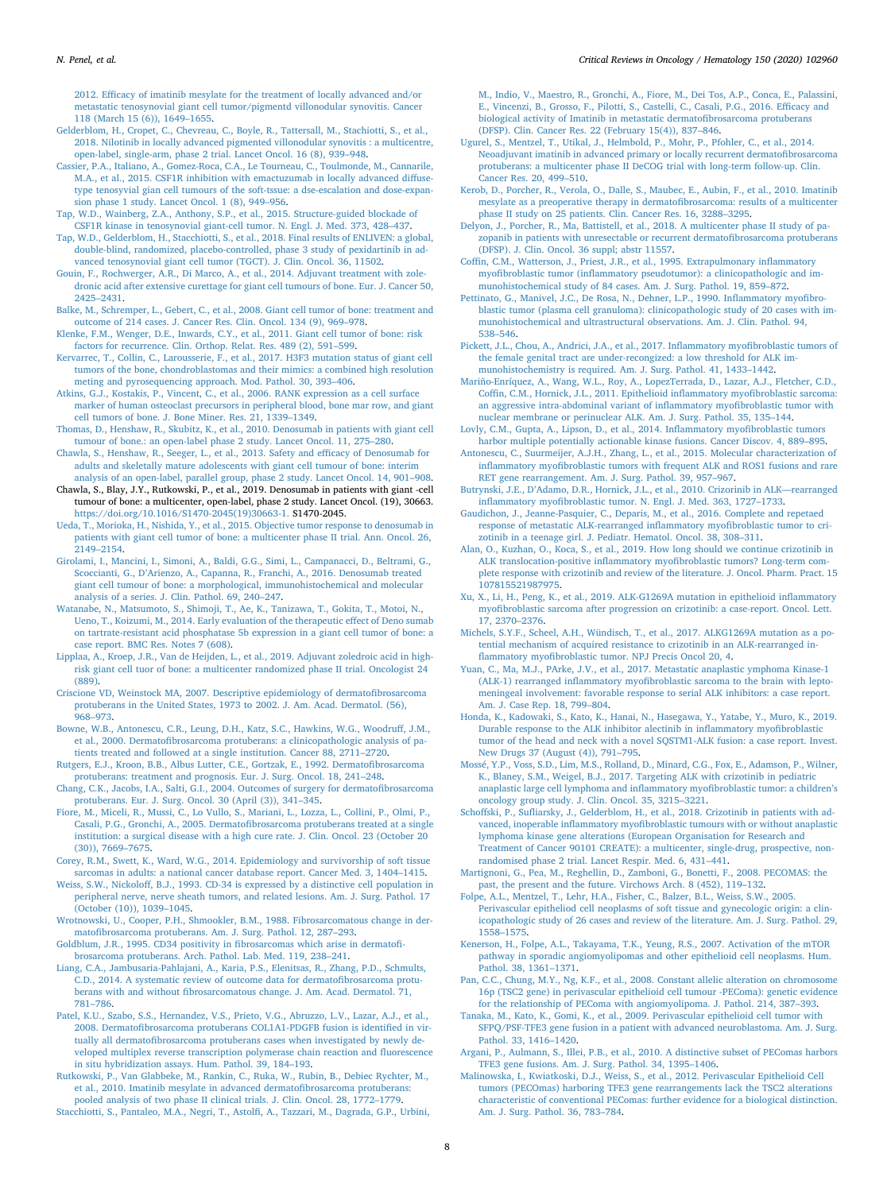[2012. Efficacy of imatinib mesylate for the treatment of locally advanced and/or](http://refhub.elsevier.com/S1040-8428(20)30098-6/sbref0070) [metastatic tenosynovial giant cell tumor/pigmentd villonodular synovitis. Cancer](http://refhub.elsevier.com/S1040-8428(20)30098-6/sbref0070) [118 \(March 15 \(6\)\), 1649–1655.](http://refhub.elsevier.com/S1040-8428(20)30098-6/sbref0070)

- <span id="page-7-0"></span>[Gelderblom, H., Cropet, C., Chevreau, C., Boyle, R., Tattersall, M., Stachiotti, S., et al.,](http://refhub.elsevier.com/S1040-8428(20)30098-6/sbref0075) [2018. Nilotinib in locally advanced pigmented villonodular synovitis : a multicentre,](http://refhub.elsevier.com/S1040-8428(20)30098-6/sbref0075) [open-label, single-arm, phase 2 trial. Lancet Oncol. 16 \(8\), 939–948.](http://refhub.elsevier.com/S1040-8428(20)30098-6/sbref0075)
- <span id="page-7-1"></span>[Cassier, P.A., Italiano, A., Gomez-Roca, C.A., Le Tourneau, C., Toulmonde, M., Cannarile,](http://refhub.elsevier.com/S1040-8428(20)30098-6/sbref0080) [M.A., et al., 2015. CSF1R inhibition with emactuzumab in locally advanced diffuse](http://refhub.elsevier.com/S1040-8428(20)30098-6/sbref0080)[type tenosyvial gian cell tumours of the soft-tssue: a dse-escalation and dose-expan](http://refhub.elsevier.com/S1040-8428(20)30098-6/sbref0080)[sion phase 1 study. Lancet Oncol. 1 \(8\), 949–956](http://refhub.elsevier.com/S1040-8428(20)30098-6/sbref0080).
- <span id="page-7-2"></span>[Tap, W.D., Wainberg, Z.A., Anthony, S.P., et al., 2015. Structure-guided blockade of](http://refhub.elsevier.com/S1040-8428(20)30098-6/sbref0085) [CSF1R kinase in tenosynovial giant-cell tumor. N. Engl. J. Med. 373, 428–437.](http://refhub.elsevier.com/S1040-8428(20)30098-6/sbref0085)
- <span id="page-7-3"></span>[Tap, W.D., Gelderblom, H., Stacchiotti, S., et al., 2018. Final results of ENLIVEN: a global,](http://refhub.elsevier.com/S1040-8428(20)30098-6/sbref0090) [double-blind, randomized, placebo-controlled, phase 3 study of pexidartinib in ad](http://refhub.elsevier.com/S1040-8428(20)30098-6/sbref0090)[vanced tenosynovial giant cell tumor \(TGCT\). J. Clin. Oncol. 36, 11502.](http://refhub.elsevier.com/S1040-8428(20)30098-6/sbref0090)

<span id="page-7-14"></span>[Gouin, F., Rochwerger, A.R., Di Marco, A., et al., 2014. Adjuvant treatment with zole](http://refhub.elsevier.com/S1040-8428(20)30098-6/sbref0095)[dronic acid after extensive curettage for giant cell tumours of bone. Eur. J. Cancer 50,](http://refhub.elsevier.com/S1040-8428(20)30098-6/sbref0095) [2425–2431](http://refhub.elsevier.com/S1040-8428(20)30098-6/sbref0095).

- <span id="page-7-4"></span>[Balke, M., Schremper, L., Gebert, C., et al., 2008. Giant cell tumor of bone: treatment and](http://refhub.elsevier.com/S1040-8428(20)30098-6/sbref0100) [outcome of 214 cases. J. Cancer Res. Clin. Oncol. 134 \(9\), 969–978.](http://refhub.elsevier.com/S1040-8428(20)30098-6/sbref0100)
- <span id="page-7-5"></span>[Klenke, F.M., Wenger, D.E., Inwards, C.Y., et al., 2011. Giant cell tumor of bone: risk](http://refhub.elsevier.com/S1040-8428(20)30098-6/sbref0105) [factors for recurrence. Clin. Orthop. Relat. Res. 489 \(2\), 591–599](http://refhub.elsevier.com/S1040-8428(20)30098-6/sbref0105).
- <span id="page-7-6"></span>[Kervarrec, T., Collin, C., Larousserie, F., et al., 2017. H3F3 mutation status of giant cell](http://refhub.elsevier.com/S1040-8428(20)30098-6/sbref0110) [tumors of the bone, chondroblastomas and their mimics: a combined high resolution](http://refhub.elsevier.com/S1040-8428(20)30098-6/sbref0110) [meting and pyrosequencing approach. Mod. Pathol. 30, 393–406.](http://refhub.elsevier.com/S1040-8428(20)30098-6/sbref0110)
- <span id="page-7-7"></span>[Atkins, G.J., Kostakis, P., Vincent, C., et al., 2006. RANK expression as a cell surface](http://refhub.elsevier.com/S1040-8428(20)30098-6/sbref0115) [marker of human osteoclast precursors in peripheral blood, bone mar row, and giant](http://refhub.elsevier.com/S1040-8428(20)30098-6/sbref0115) [cell tumors of bone. J. Bone Miner. Res. 21, 1339–1349](http://refhub.elsevier.com/S1040-8428(20)30098-6/sbref0115).

<span id="page-7-8"></span>[Thomas, D., Henshaw, R., Skubitz, K., et al., 2010. Denosumab in patients with giant cell](http://refhub.elsevier.com/S1040-8428(20)30098-6/sbref0120) [tumour of bone.: an open-label phase 2 study. Lancet Oncol. 11, 275–280](http://refhub.elsevier.com/S1040-8428(20)30098-6/sbref0120).

- <span id="page-7-9"></span>[Chawla, S., Henshaw, R., Seeger, L., et al., 2013. Safety and efficacy of Denosumab for](http://refhub.elsevier.com/S1040-8428(20)30098-6/sbref0125) [adults and skeletally mature adolescents with giant cell tumour of bone: interim](http://refhub.elsevier.com/S1040-8428(20)30098-6/sbref0125) [analysis of an open-label, parallel group, phase 2 study. Lancet Oncol. 14, 901–908.](http://refhub.elsevier.com/S1040-8428(20)30098-6/sbref0125)
- <span id="page-7-10"></span>Chawla, S., Blay, J.Y., Rutkowski, P., et al., 2019. Denosumab in patients with giant -cell tumour of bone: a multicenter, open-label, phase 2 study. Lancet Oncol. (19), 30663. [https://doi.org/10.1016/S1470-2045\(19\)30663-1.](https://doi.org/10.1016/S1470-2045(19)30663-1) S1470-2045.
- <span id="page-7-11"></span>[Ueda, T., Morioka, H., Nishida, Y., et al., 2015. Objective tumor response to denosumab in](http://refhub.elsevier.com/S1040-8428(20)30098-6/sbref0135) [patients with giant cell tumor of bone: a multicenter phase II trial. Ann. Oncol. 26,](http://refhub.elsevier.com/S1040-8428(20)30098-6/sbref0135) [2149–2154](http://refhub.elsevier.com/S1040-8428(20)30098-6/sbref0135).
- <span id="page-7-12"></span>[Girolami, I., Mancini, I., Simoni, A., Baldi, G.G., Simi, L., Campanacci, D., Beltrami, G.,](http://refhub.elsevier.com/S1040-8428(20)30098-6/sbref0140) [Scoccianti, G., D'Arienzo, A., Capanna, R., Franchi, A., 2016. Denosumab treated](http://refhub.elsevier.com/S1040-8428(20)30098-6/sbref0140) [giant cell tumour of bone: a morphological, immunohistochemical and molecular](http://refhub.elsevier.com/S1040-8428(20)30098-6/sbref0140) [analysis of a series. J. Clin. Pathol. 69, 240–247.](http://refhub.elsevier.com/S1040-8428(20)30098-6/sbref0140)
- <span id="page-7-13"></span>[Watanabe, N., Matsumoto, S., Shimoji, T., Ae, K., Tanizawa, T., Gokita, T., Motoi, N.,](http://refhub.elsevier.com/S1040-8428(20)30098-6/sbref0145) [Ueno, T., Koizumi, M., 2014. Early evaluation of the therapeutic effect of Deno sumab](http://refhub.elsevier.com/S1040-8428(20)30098-6/sbref0145) [on tartrate-resistant acid phosphatase 5b expression in a giant cell tumor of bone: a](http://refhub.elsevier.com/S1040-8428(20)30098-6/sbref0145) [case report. BMC Res. Notes 7 \(608\)](http://refhub.elsevier.com/S1040-8428(20)30098-6/sbref0145).
- <span id="page-7-15"></span>[Lipplaa, A., Kroep, J.R., Van de Heijden, L., et al., 2019. Adjuvant zoledroic acid in high](http://refhub.elsevier.com/S1040-8428(20)30098-6/sbref0150)[risk giant cell tuor of bone: a multicenter randomized phase II trial. Oncologist 24](http://refhub.elsevier.com/S1040-8428(20)30098-6/sbref0150) [\(889\)](http://refhub.elsevier.com/S1040-8428(20)30098-6/sbref0150).
- <span id="page-7-16"></span>[Criscione VD, Weinstock MA, 2007. Descriptive epidemiology of dermatofibrosarcoma](http://refhub.elsevier.com/S1040-8428(20)30098-6/sbref0155) [protuberans in the United States, 1973 to 2002. J. Am. Acad. Dermatol. \(56\),](http://refhub.elsevier.com/S1040-8428(20)30098-6/sbref0155) [968–973](http://refhub.elsevier.com/S1040-8428(20)30098-6/sbref0155).
- <span id="page-7-17"></span>[Bowne, W.B., Antonescu, C.R., Leung, D.H., Katz, S.C., Hawkins, W.G., Woodruff, J.M.,](http://refhub.elsevier.com/S1040-8428(20)30098-6/sbref0160) [et al., 2000. Dermatofibrosarcoma protuberans: a clinicopathologic analysis of pa](http://refhub.elsevier.com/S1040-8428(20)30098-6/sbref0160)[tients treated and followed at a single institution. Cancer 88, 2711–2720.](http://refhub.elsevier.com/S1040-8428(20)30098-6/sbref0160)
- <span id="page-7-18"></span>[Rutgers, E.J., Kroon, B.B., Albus Lutter, C.E., Gortzak, E., 1992. Dermatofibrosarcoma](http://refhub.elsevier.com/S1040-8428(20)30098-6/sbref0165) [protuberans: treatment and prognosis. Eur. J. Surg. Oncol. 18, 241–248](http://refhub.elsevier.com/S1040-8428(20)30098-6/sbref0165).
- <span id="page-7-19"></span>[Chang, C.K., Jacobs, I.A., Salti, G.I., 2004. Outcomes of surgery for dermatofibrosarcoma](http://refhub.elsevier.com/S1040-8428(20)30098-6/sbref0170) [protuberans. Eur. J. Surg. Oncol. 30 \(April \(3\)\), 341–345.](http://refhub.elsevier.com/S1040-8428(20)30098-6/sbref0170)
- <span id="page-7-20"></span>[Fiore, M., Miceli, R., Mussi, C., Lo Vullo, S., Mariani, L., Lozza, L., Collini, P., Olmi, P.,](http://refhub.elsevier.com/S1040-8428(20)30098-6/sbref0175) [Casali, P.G., Gronchi, A., 2005. Dermatofibrosarcoma protuberans treated at a single](http://refhub.elsevier.com/S1040-8428(20)30098-6/sbref0175) [institution: a surgical disease with a high cure rate. J. Clin. Oncol. 23 \(October 20](http://refhub.elsevier.com/S1040-8428(20)30098-6/sbref0175) [\(30\)\), 7669–7675.](http://refhub.elsevier.com/S1040-8428(20)30098-6/sbref0175)
- <span id="page-7-21"></span>[Corey, R.M., Swett, K., Ward, W.G., 2014. Epidemiology and survivorship of soft tissue](http://refhub.elsevier.com/S1040-8428(20)30098-6/sbref0180) [sarcomas in adults: a national cancer database report. Cancer Med. 3, 1404–1415.](http://refhub.elsevier.com/S1040-8428(20)30098-6/sbref0180)
- <span id="page-7-22"></span>[Weiss, S.W., Nickoloff, B.J., 1993. CD-34 is expressed by a distinctive cell population in](http://refhub.elsevier.com/S1040-8428(20)30098-6/sbref0185) [peripheral nerve, nerve sheath tumors, and related lesions. Am. J. Surg. Pathol. 17](http://refhub.elsevier.com/S1040-8428(20)30098-6/sbref0185) [\(October \(10\)\), 1039–1045.](http://refhub.elsevier.com/S1040-8428(20)30098-6/sbref0185)
- <span id="page-7-23"></span>[Wrotnowski, U., Cooper, P.H., Shmookler, B.M., 1988. Fibrosarcomatous change in der](http://refhub.elsevier.com/S1040-8428(20)30098-6/sbref0190)[matofibrosarcoma protuberans. Am. J. Surg. Pathol. 12, 287–293.](http://refhub.elsevier.com/S1040-8428(20)30098-6/sbref0190)
- <span id="page-7-24"></span>[Goldblum, J.R., 1995. CD34 positivity in fibrosarcomas which arise in dermatofi](http://refhub.elsevier.com/S1040-8428(20)30098-6/sbref0195)[brosarcoma protuberans. Arch. Pathol. Lab. Med. 119, 238–241](http://refhub.elsevier.com/S1040-8428(20)30098-6/sbref0195).
- <span id="page-7-25"></span>[Liang, C.A., Jambusaria-Pahlajani, A., Karia, P.S., Elenitsas, R., Zhang, P.D., Schmults,](http://refhub.elsevier.com/S1040-8428(20)30098-6/sbref0200) [C.D., 2014. A systematic review of outcome data for dermatofibrosarcoma protu](http://refhub.elsevier.com/S1040-8428(20)30098-6/sbref0200)[berans with and without fibrosarcomatous change. J. Am. Acad. Dermatol. 71,](http://refhub.elsevier.com/S1040-8428(20)30098-6/sbref0200) [781–786](http://refhub.elsevier.com/S1040-8428(20)30098-6/sbref0200).
- <span id="page-7-26"></span>[Patel, K.U., Szabo, S.S., Hernandez, V.S., Prieto, V.G., Abruzzo, L.V., Lazar, A.J., et al.,](http://refhub.elsevier.com/S1040-8428(20)30098-6/sbref0205) [2008. Dermatofibrosarcoma protuberans COL1A1-PDGFB fusion is identified in vir](http://refhub.elsevier.com/S1040-8428(20)30098-6/sbref0205)[tually all dermatofibrosarcoma protuberans cases when investigated by newly de](http://refhub.elsevier.com/S1040-8428(20)30098-6/sbref0205)[veloped multiplex reverse transcription polymerase chain reaction and fluorescence](http://refhub.elsevier.com/S1040-8428(20)30098-6/sbref0205) [in situ hybridization assays. Hum. Pathol. 39, 184–193.](http://refhub.elsevier.com/S1040-8428(20)30098-6/sbref0205)
- <span id="page-7-27"></span>[Rutkowski, P., Van Glabbeke, M., Rankin, C., Ruka, W., Rubin, B., Debiec Rychter, M.,](http://refhub.elsevier.com/S1040-8428(20)30098-6/sbref0210) [et al., 2010. Imatinib mesylate in advanced dermatofibrosarcoma protuberans:](http://refhub.elsevier.com/S1040-8428(20)30098-6/sbref0210) [pooled analysis of two phase II clinical trials. J. Clin. Oncol. 28, 1772–1779.](http://refhub.elsevier.com/S1040-8428(20)30098-6/sbref0210)
- <span id="page-7-28"></span>[Stacchiotti, S., Pantaleo, M.A., Negri, T., Astolfi, A., Tazzari, M., Dagrada, G.P., Urbini,](http://refhub.elsevier.com/S1040-8428(20)30098-6/sbref0215)

[M., Indio, V., Maestro, R., Gronchi, A., Fiore, M., Dei Tos, A.P., Conca, E., Palassini,](http://refhub.elsevier.com/S1040-8428(20)30098-6/sbref0215) [E., Vincenzi, B., Grosso, F., Pilotti, S., Castelli, C., Casali, P.G., 2016. Efficacy and](http://refhub.elsevier.com/S1040-8428(20)30098-6/sbref0215) [biological activity of Imatinib in metastatic dermatofibrosarcoma protuberans](http://refhub.elsevier.com/S1040-8428(20)30098-6/sbref0215) [\(DFSP\). Clin. Cancer Res. 22 \(February 15\(4\)\), 837–846.](http://refhub.elsevier.com/S1040-8428(20)30098-6/sbref0215)

- <span id="page-7-29"></span>[Ugurel, S., Mentzel, T., Utikal, J., Helmbold, P., Mohr, P., Pfohler, C., et al., 2014.](http://refhub.elsevier.com/S1040-8428(20)30098-6/sbref0220) [Neoadjuvant imatinib in advanced primary or locally recurrent dermatofibrosarcoma](http://refhub.elsevier.com/S1040-8428(20)30098-6/sbref0220) [protuberans: a multicenter phase II DeCOG trial with long-term follow-up. Clin.](http://refhub.elsevier.com/S1040-8428(20)30098-6/sbref0220) [Cancer Res. 20, 499–510.](http://refhub.elsevier.com/S1040-8428(20)30098-6/sbref0220)
- <span id="page-7-30"></span>[Kerob, D., Porcher, R., Verola, O., Dalle, S., Maubec, E., Aubin, F., et al., 2010. Imatinib](http://refhub.elsevier.com/S1040-8428(20)30098-6/sbref0225) [mesylate as a preoperative therapy in dermatofibrosarcoma: results of a multicenter](http://refhub.elsevier.com/S1040-8428(20)30098-6/sbref0225) [phase II study on 25 patients. Clin. Cancer Res. 16, 3288–3295.](http://refhub.elsevier.com/S1040-8428(20)30098-6/sbref0225)
- <span id="page-7-31"></span>[Delyon, J., Porcher, R., Ma, Battistell, et al., 2018. A multicenter phase II study of pa](http://refhub.elsevier.com/S1040-8428(20)30098-6/sbref0230)[zopanib in patients with unresectable or recurrent dermatofibrosarcoma protuberans](http://refhub.elsevier.com/S1040-8428(20)30098-6/sbref0230) [\(DFSP\). J. Clin. Oncol. 36 suppl; abstr 11557](http://refhub.elsevier.com/S1040-8428(20)30098-6/sbref0230).
- <span id="page-7-32"></span>[Coffin, C.M., Watterson, J., Priest, J.R., et al., 1995. Extrapulmonary inflammatory](http://refhub.elsevier.com/S1040-8428(20)30098-6/sbref0235) [myofibroblastic tumor \(inflammatory pseudotumor\): a clinicopathologic and im](http://refhub.elsevier.com/S1040-8428(20)30098-6/sbref0235)[munohistochemical study of 84 cases. Am. J. Surg. Pathol. 19, 859–872.](http://refhub.elsevier.com/S1040-8428(20)30098-6/sbref0235)
- <span id="page-7-33"></span>[Pettinato, G., Manivel, J.C., De Rosa, N., Dehner, L.P., 1990. Inflammatory myofibro](http://refhub.elsevier.com/S1040-8428(20)30098-6/sbref0240)[blastic tumor \(plasma cell granuloma\): clinicopathologic study of 20 cases with im](http://refhub.elsevier.com/S1040-8428(20)30098-6/sbref0240)[munohistochemical and ultrastructural observations. Am. J. Clin. Pathol. 94,](http://refhub.elsevier.com/S1040-8428(20)30098-6/sbref0240) [538–546](http://refhub.elsevier.com/S1040-8428(20)30098-6/sbref0240).
- <span id="page-7-34"></span>[Pickett, J.L., Chou, A., Andrici, J.A., et al., 2017. Inflammatory myofibroblastic tumors of](http://refhub.elsevier.com/S1040-8428(20)30098-6/sbref0245) [the female genital tract are under-recongized: a low threshold for ALK im](http://refhub.elsevier.com/S1040-8428(20)30098-6/sbref0245)[munohistochemistry is required. Am. J. Surg. Pathol. 41, 1433–1442.](http://refhub.elsevier.com/S1040-8428(20)30098-6/sbref0245)
- <span id="page-7-35"></span>[Mariño-Enríquez, A., Wang, W.L., Roy, A., LopezTerrada, D., Lazar, A.J., Fletcher, C.D.,](http://refhub.elsevier.com/S1040-8428(20)30098-6/sbref0250) [Coffin, C.M., Hornick, J.L., 2011. Epithelioid inflammatory myofibroblastic sarcoma:](http://refhub.elsevier.com/S1040-8428(20)30098-6/sbref0250) [an aggressive intra-abdominal variant of inflammatory myofibroblastic tumor with](http://refhub.elsevier.com/S1040-8428(20)30098-6/sbref0250) [nuclear membrane or perinuclear ALK. Am. J. Surg. Pathol. 35, 135–144.](http://refhub.elsevier.com/S1040-8428(20)30098-6/sbref0250)
- <span id="page-7-36"></span>[Lovly, C.M., Gupta, A., Lipson, D., et al., 2014. Inflammatory myofibroblastic tumors](http://refhub.elsevier.com/S1040-8428(20)30098-6/sbref0255) harbor multiple potentially actionable kinase fusions. Cancer Discov. 4, 889-895.
- <span id="page-7-37"></span>[Antonescu, C., Suurmeijer, A.J.H., Zhang, L., et al., 2015. Molecular characterization of](http://refhub.elsevier.com/S1040-8428(20)30098-6/sbref0260) [inflammatory myofibroblastic tumors with frequent ALK and ROS1 fusions and rare](http://refhub.elsevier.com/S1040-8428(20)30098-6/sbref0260) [RET gene rearrangement. Am. J. Surg. Pathol. 39, 957–967](http://refhub.elsevier.com/S1040-8428(20)30098-6/sbref0260).
- <span id="page-7-38"></span>[Butrynski, J.E., D'Adamo, D.R., Hornick, J.L., et al., 2010. Crizorinib in ALK—rearranged](http://refhub.elsevier.com/S1040-8428(20)30098-6/sbref0265) [inflammatory myofibroblastic tumor. N. Engl. J. Med. 363, 1727–1733](http://refhub.elsevier.com/S1040-8428(20)30098-6/sbref0265).
- <span id="page-7-39"></span>[Gaudichon, J., Jeanne-Pasquier, C., Deparis, M., et al., 2016. Complete and repetaed](http://refhub.elsevier.com/S1040-8428(20)30098-6/sbref0270) [response of metastatic ALK-rearranged inflammatory myofibroblastic tumor to cri](http://refhub.elsevier.com/S1040-8428(20)30098-6/sbref0270)[zotinib in a teenage girl. J. Pediatr. Hematol. Oncol. 38, 308–311](http://refhub.elsevier.com/S1040-8428(20)30098-6/sbref0270).
- <span id="page-7-40"></span>[Alan, O., Kuzhan, O., Koca, S., et al., 2019. How long should we continue crizotinib in](http://refhub.elsevier.com/S1040-8428(20)30098-6/sbref0275) [ALK translocation-positive inflammatory myofibroblastic tumors? Long-term com](http://refhub.elsevier.com/S1040-8428(20)30098-6/sbref0275)[plete response with crizotinib and review of the literature. J. Oncol. Pharm. Pract. 15](http://refhub.elsevier.com/S1040-8428(20)30098-6/sbref0275) [107815521987975](http://refhub.elsevier.com/S1040-8428(20)30098-6/sbref0275).
- <span id="page-7-41"></span>[Xu, X., Li, H., Peng, K., et al., 2019. ALK-G1269A mutation in epithelioid inflammatory](http://refhub.elsevier.com/S1040-8428(20)30098-6/sbref0280) [myofibroblastic sarcoma after progression on crizotinib: a case-report. Oncol. Lett.](http://refhub.elsevier.com/S1040-8428(20)30098-6/sbref0280) [17, 2370–2376.](http://refhub.elsevier.com/S1040-8428(20)30098-6/sbref0280)
- <span id="page-7-42"></span>[Michels, S.Y.F., Scheel, A.H., Wündisch, T., et al., 2017. ALKG1269A mutation as a po](http://refhub.elsevier.com/S1040-8428(20)30098-6/sbref0285)[tential mechanism of acquired resistance to crizotinib in an ALK-rearranged in](http://refhub.elsevier.com/S1040-8428(20)30098-6/sbref0285)[flammatory myofibroblastic tumor. NPJ Precis Oncol 20, 4.](http://refhub.elsevier.com/S1040-8428(20)30098-6/sbref0285)
- <span id="page-7-43"></span>[Yuan, C., Ma, M.J., PArke, J.V., et al., 2017. Metastatic anaplastic ymphoma Kinase-1](http://refhub.elsevier.com/S1040-8428(20)30098-6/sbref0290) [\(ALK-1\) rearranged inflammatory myofibroblastic sarcoma to the brain with lepto](http://refhub.elsevier.com/S1040-8428(20)30098-6/sbref0290)[meningeal involvement: favorable response to serial ALK inhibitors: a case report.](http://refhub.elsevier.com/S1040-8428(20)30098-6/sbref0290) [Am. J. Case Rep. 18, 799–804.](http://refhub.elsevier.com/S1040-8428(20)30098-6/sbref0290)
- <span id="page-7-44"></span>[Honda, K., Kadowaki, S., Kato, K., Hanai, N., Hasegawa, Y., Yatabe, Y., Muro, K., 2019.](http://refhub.elsevier.com/S1040-8428(20)30098-6/sbref0295) [Durable response to the ALK inhibitor alectinib in inflammatory myofibroblastic](http://refhub.elsevier.com/S1040-8428(20)30098-6/sbref0295) [tumor of the head and neck with a novel SQSTM1-ALK fusion: a case report. Invest.](http://refhub.elsevier.com/S1040-8428(20)30098-6/sbref0295) [New Drugs 37 \(August \(4\)\), 791–795.](http://refhub.elsevier.com/S1040-8428(20)30098-6/sbref0295)
- <span id="page-7-45"></span>[Mossé, Y.P., Voss, S.D., Lim, M.S., Rolland, D., Minard, C.G., Fox, E., Adamson, P., Wilner,](http://refhub.elsevier.com/S1040-8428(20)30098-6/sbref0300) [K., Blaney, S.M., Weigel, B.J., 2017. Targeting ALK with crizotinib in pediatric](http://refhub.elsevier.com/S1040-8428(20)30098-6/sbref0300) [anaplastic large cell lymphoma and inflammatory myofibroblastic tumor: a children's](http://refhub.elsevier.com/S1040-8428(20)30098-6/sbref0300) [oncology group study. J. Clin. Oncol. 35, 3215–3221.](http://refhub.elsevier.com/S1040-8428(20)30098-6/sbref0300)
- <span id="page-7-46"></span>[Schoffski, P., Sufliarsky, J., Gelderblom, H., et al., 2018. Crizotinib in patients with ad](http://refhub.elsevier.com/S1040-8428(20)30098-6/sbref0305)[vanced, inoperable inflammatory myofibroblastic tumours with or without anaplastic](http://refhub.elsevier.com/S1040-8428(20)30098-6/sbref0305) [lymphoma kinase gene alterations \(European Organisation for Research and](http://refhub.elsevier.com/S1040-8428(20)30098-6/sbref0305) [Treatment of Cancer 90101 CREATE\): a multicenter, single-drug, prospective, non](http://refhub.elsevier.com/S1040-8428(20)30098-6/sbref0305)[randomised phase 2 trial. Lancet Respir. Med. 6, 431–441](http://refhub.elsevier.com/S1040-8428(20)30098-6/sbref0305).
- <span id="page-7-47"></span>[Martignoni, G., Pea, M., Reghellin, D., Zamboni, G., Bonetti, F., 2008. PECOMAS: the](http://refhub.elsevier.com/S1040-8428(20)30098-6/sbref0310) [past, the present and the future. Virchows Arch. 8 \(452\), 119–132](http://refhub.elsevier.com/S1040-8428(20)30098-6/sbref0310).
- <span id="page-7-48"></span>[Folpe, A.L., Mentzel, T., Lehr, H.A., Fisher, C., Balzer, B.L., Weiss, S.W., 2005.](http://refhub.elsevier.com/S1040-8428(20)30098-6/sbref0315) [Perivascular epitheliod cell neoplasms of soft tissue and gynecologic origin: a clin](http://refhub.elsevier.com/S1040-8428(20)30098-6/sbref0315)[icopathologic study of 26 cases and review of the literature. Am. J. Surg. Pathol. 29,](http://refhub.elsevier.com/S1040-8428(20)30098-6/sbref0315) [1558–1575](http://refhub.elsevier.com/S1040-8428(20)30098-6/sbref0315).
- <span id="page-7-49"></span>[Kenerson, H., Folpe, A.L., Takayama, T.K., Yeung, R.S., 2007. Activation of the mTOR](http://refhub.elsevier.com/S1040-8428(20)30098-6/sbref0320) [pathway in sporadic angiomyolipomas and other epithelioid cell neoplasms. Hum.](http://refhub.elsevier.com/S1040-8428(20)30098-6/sbref0320) [Pathol. 38, 1361–1371.](http://refhub.elsevier.com/S1040-8428(20)30098-6/sbref0320)
- <span id="page-7-50"></span>[Pan, C.C., Chung, M.Y., Ng, K.F., et al., 2008. Constant allelic alteration on chromosome](http://refhub.elsevier.com/S1040-8428(20)30098-6/sbref0325) [16p \(TSC2 gene\) in perivascular epithelioid cell tumour -PEComa\): genetic evidence](http://refhub.elsevier.com/S1040-8428(20)30098-6/sbref0325) [for the relationship of PEComa with angiomyolipoma. J. Pathol. 214, 387–393.](http://refhub.elsevier.com/S1040-8428(20)30098-6/sbref0325)
- <span id="page-7-51"></span>[Tanaka, M., Kato, K., Gomi, K., et al., 2009. Perivascular epithelioid cell tumor with](http://refhub.elsevier.com/S1040-8428(20)30098-6/sbref0330) [SFPQ/PSF-TFE3 gene fusion in a patient with advanced neuroblastoma. Am. J. Surg.](http://refhub.elsevier.com/S1040-8428(20)30098-6/sbref0330) [Pathol. 33, 1416–1420.](http://refhub.elsevier.com/S1040-8428(20)30098-6/sbref0330)
- <span id="page-7-52"></span>[Argani, P., Aulmann, S., Illei, P.B., et al., 2010. A distinctive subset of PEComas harbors](http://refhub.elsevier.com/S1040-8428(20)30098-6/sbref0335) [TFE3 gene fusions. Am. J. Surg. Pathol. 34, 1395–1406.](http://refhub.elsevier.com/S1040-8428(20)30098-6/sbref0335)
- <span id="page-7-53"></span>[Malinowska, I., Kwiatkoski, D.J., Weiss, S., et al., 2012. Perivascular Epithelioid Cell](http://refhub.elsevier.com/S1040-8428(20)30098-6/sbref0340) [tumors \(PECOmas\) harboring TFE3 gene rearrangements lack the TSC2 alterations](http://refhub.elsevier.com/S1040-8428(20)30098-6/sbref0340) [characteristic of conventional PEComas: further evidence for a biological distinction.](http://refhub.elsevier.com/S1040-8428(20)30098-6/sbref0340) [Am. J. Surg. Pathol. 36, 783–784.](http://refhub.elsevier.com/S1040-8428(20)30098-6/sbref0340)